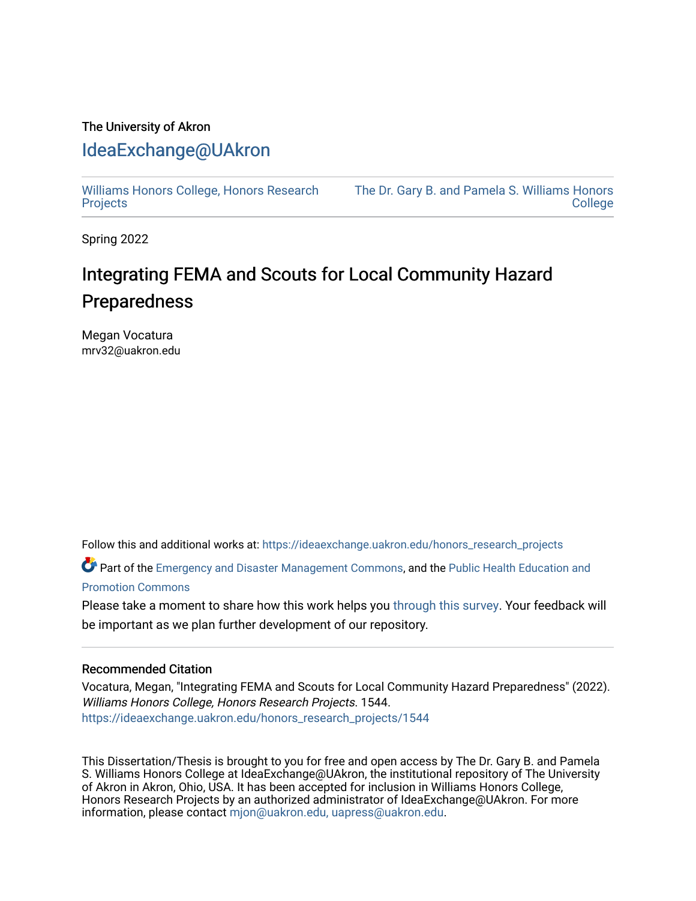# The University of Akron [IdeaExchange@UAkron](https://ideaexchange.uakron.edu/)

[Williams Honors College, Honors Research](https://ideaexchange.uakron.edu/honors_research_projects)  **[Projects](https://ideaexchange.uakron.edu/honors_research_projects)** 

[The Dr. Gary B. and Pamela S. Williams Honors](https://ideaexchange.uakron.edu/honorscollege_ideas)  **College** 

Spring 2022

# Integrating FEMA and Scouts for Local Community Hazard Preparedness

Megan Vocatura mrv32@uakron.edu

Follow this and additional works at: [https://ideaexchange.uakron.edu/honors\\_research\\_projects](https://ideaexchange.uakron.edu/honors_research_projects?utm_source=ideaexchange.uakron.edu%2Fhonors_research_projects%2F1544&utm_medium=PDF&utm_campaign=PDFCoverPages) 

Part of the [Emergency and Disaster Management Commons,](http://network.bepress.com/hgg/discipline/1321?utm_source=ideaexchange.uakron.edu%2Fhonors_research_projects%2F1544&utm_medium=PDF&utm_campaign=PDFCoverPages) and the Public Health Education and [Promotion Commons](http://network.bepress.com/hgg/discipline/743?utm_source=ideaexchange.uakron.edu%2Fhonors_research_projects%2F1544&utm_medium=PDF&utm_campaign=PDFCoverPages)

Please take a moment to share how this work helps you [through this survey](http://survey.az1.qualtrics.com/SE/?SID=SV_eEVH54oiCbOw05f&URL=https://ideaexchange.uakron.edu/honors_research_projects/1544). Your feedback will be important as we plan further development of our repository.

# Recommended Citation

Vocatura, Megan, "Integrating FEMA and Scouts for Local Community Hazard Preparedness" (2022). Williams Honors College, Honors Research Projects. 1544. [https://ideaexchange.uakron.edu/honors\\_research\\_projects/1544](https://ideaexchange.uakron.edu/honors_research_projects/1544?utm_source=ideaexchange.uakron.edu%2Fhonors_research_projects%2F1544&utm_medium=PDF&utm_campaign=PDFCoverPages) 

This Dissertation/Thesis is brought to you for free and open access by The Dr. Gary B. and Pamela S. Williams Honors College at IdeaExchange@UAkron, the institutional repository of The University of Akron in Akron, Ohio, USA. It has been accepted for inclusion in Williams Honors College, Honors Research Projects by an authorized administrator of IdeaExchange@UAkron. For more information, please contact [mjon@uakron.edu, uapress@uakron.edu.](mailto:mjon@uakron.edu,%20uapress@uakron.edu)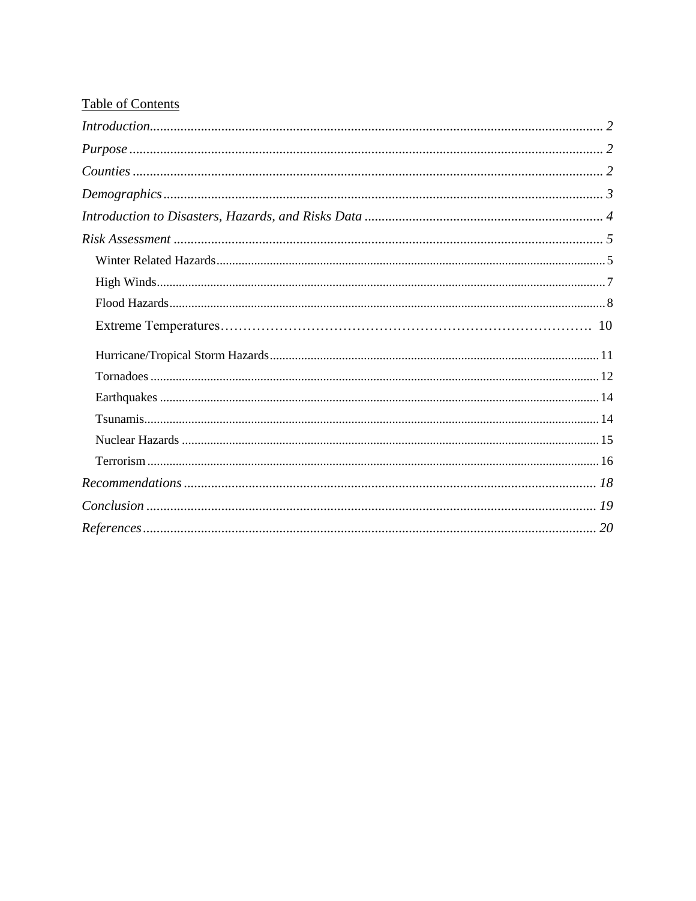# **Table of Contents**

| Introduction 2        |
|-----------------------|
|                       |
|                       |
| Demographic 3         |
|                       |
|                       |
|                       |
|                       |
|                       |
|                       |
|                       |
|                       |
|                       |
|                       |
|                       |
|                       |
|                       |
|                       |
| $References \dots 20$ |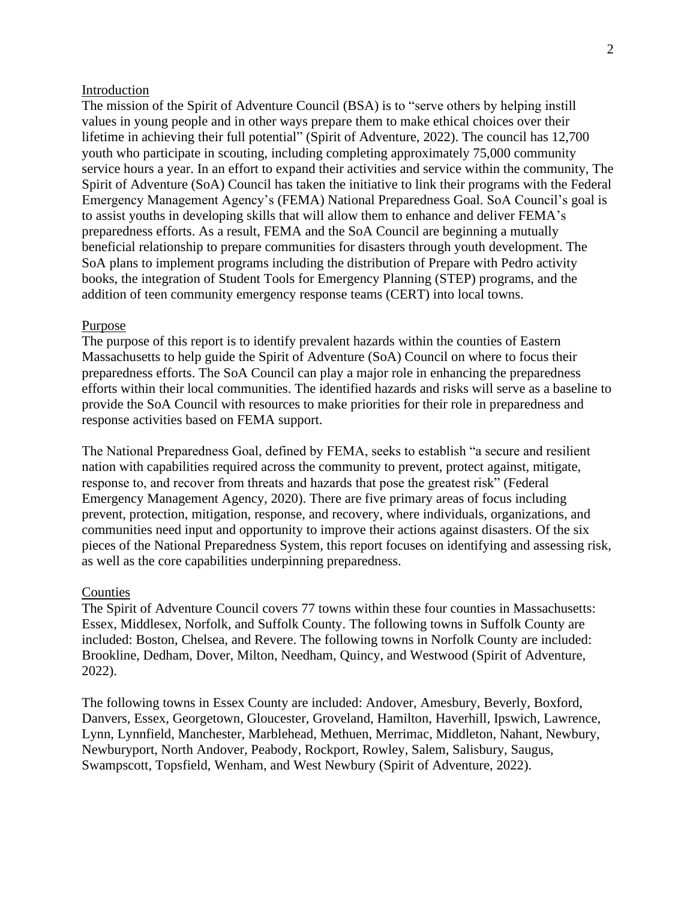#### Introduction

The mission of the Spirit of Adventure Council (BSA) is to "serve others by helping instill values in young people and in other ways prepare them to make ethical choices over their lifetime in achieving their full potential" (Spirit of Adventure, 2022). The council has 12,700 youth who participate in scouting, including completing approximately 75,000 community service hours a year. In an effort to expand their activities and service within the community, The Spirit of Adventure (SoA) Council has taken the initiative to link their programs with the Federal Emergency Management Agency's (FEMA) National Preparedness Goal. SoA Council's goal is to assist youths in developing skills that will allow them to enhance and deliver FEMA's preparedness efforts. As a result, FEMA and the SoA Council are beginning a mutually beneficial relationship to prepare communities for disasters through youth development. The SoA plans to implement programs including the distribution of Prepare with Pedro activity books, the integration of Student Tools for Emergency Planning (STEP) programs, and the addition of teen community emergency response teams (CERT) into local towns.

#### Purpose

The purpose of this report is to identify prevalent hazards within the counties of Eastern Massachusetts to help guide the Spirit of Adventure (SoA) Council on where to focus their preparedness efforts. The SoA Council can play a major role in enhancing the preparedness efforts within their local communities. The identified hazards and risks will serve as a baseline to provide the SoA Council with resources to make priorities for their role in preparedness and response activities based on FEMA support.

The National Preparedness Goal, defined by FEMA, seeks to establish "a secure and resilient nation with capabilities required across the community to prevent, protect against, mitigate, response to, and recover from threats and hazards that pose the greatest risk" (Federal Emergency Management Agency, 2020). There are five primary areas of focus including prevent, protection, mitigation, response, and recovery, where individuals, organizations, and communities need input and opportunity to improve their actions against disasters. Of the six pieces of the National Preparedness System, this report focuses on identifying and assessing risk, as well as the core capabilities underpinning preparedness.

#### Counties

The Spirit of Adventure Council covers 77 towns within these four counties in Massachusetts: Essex, Middlesex, Norfolk, and Suffolk County. The following towns in Suffolk County are included: Boston, Chelsea, and Revere. The following towns in Norfolk County are included: Brookline, Dedham, Dover, Milton, Needham, Quincy, and Westwood (Spirit of Adventure, 2022).

The following towns in Essex County are included: Andover, Amesbury, Beverly, Boxford, Danvers, Essex, Georgetown, Gloucester, Groveland, Hamilton, Haverhill, Ipswich, Lawrence, Lynn, Lynnfield, Manchester, Marblehead, Methuen, Merrimac, Middleton, Nahant, Newbury, Newburyport, North Andover, Peabody, Rockport, Rowley, Salem, Salisbury, Saugus, Swampscott, Topsfield, Wenham, and West Newbury (Spirit of Adventure, 2022).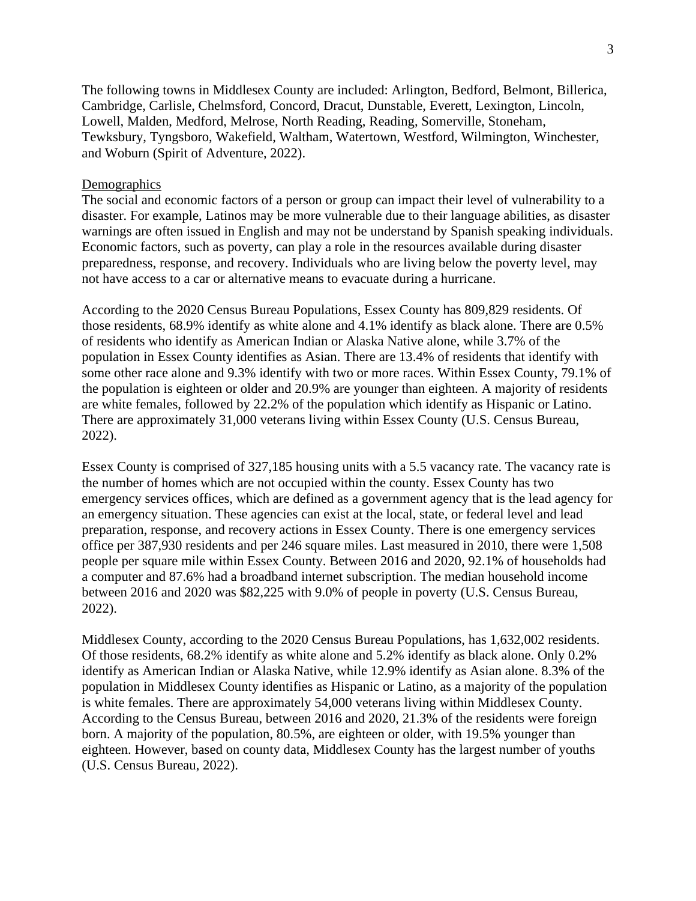The following towns in Middlesex County are included: Arlington, Bedford, Belmont, Billerica, Cambridge, Carlisle, Chelmsford, Concord, Dracut, Dunstable, Everett, Lexington, Lincoln, Lowell, Malden, Medford, Melrose, North Reading, Reading, Somerville, Stoneham, Tewksbury, Tyngsboro, Wakefield, Waltham, Watertown, Westford, Wilmington, Winchester, and Woburn (Spirit of Adventure, 2022).

# **Demographics**

The social and economic factors of a person or group can impact their level of vulnerability to a disaster. For example, Latinos may be more vulnerable due to their language abilities, as disaster warnings are often issued in English and may not be understand by Spanish speaking individuals. Economic factors, such as poverty, can play a role in the resources available during disaster preparedness, response, and recovery. Individuals who are living below the poverty level, may not have access to a car or alternative means to evacuate during a hurricane.

According to the 2020 Census Bureau Populations, Essex County has 809,829 residents. Of those residents, 68.9% identify as white alone and 4.1% identify as black alone. There are 0.5% of residents who identify as American Indian or Alaska Native alone, while 3.7% of the population in Essex County identifies as Asian. There are 13.4% of residents that identify with some other race alone and 9.3% identify with two or more races. Within Essex County, 79.1% of the population is eighteen or older and 20.9% are younger than eighteen. A majority of residents are white females, followed by 22.2% of the population which identify as Hispanic or Latino. There are approximately 31,000 veterans living within Essex County (U.S. Census Bureau, 2022).

Essex County is comprised of 327,185 housing units with a 5.5 vacancy rate. The vacancy rate is the number of homes which are not occupied within the county. Essex County has two emergency services offices, which are defined as a government agency that is the lead agency for an emergency situation. These agencies can exist at the local, state, or federal level and lead preparation, response, and recovery actions in Essex County. There is one emergency services office per 387,930 residents and per 246 square miles. Last measured in 2010, there were 1,508 people per square mile within Essex County. Between 2016 and 2020, 92.1% of households had a computer and 87.6% had a broadband internet subscription. The median household income between 2016 and 2020 was \$82,225 with 9.0% of people in poverty (U.S. Census Bureau, 2022).

Middlesex County, according to the 2020 Census Bureau Populations, has 1,632,002 residents. Of those residents, 68.2% identify as white alone and 5.2% identify as black alone. Only 0.2% identify as American Indian or Alaska Native, while 12.9% identify as Asian alone. 8.3% of the population in Middlesex County identifies as Hispanic or Latino, as a majority of the population is white females. There are approximately 54,000 veterans living within Middlesex County. According to the Census Bureau, between 2016 and 2020, 21.3% of the residents were foreign born. A majority of the population, 80.5%, are eighteen or older, with 19.5% younger than eighteen. However, based on county data, Middlesex County has the largest number of youths (U.S. Census Bureau, 2022).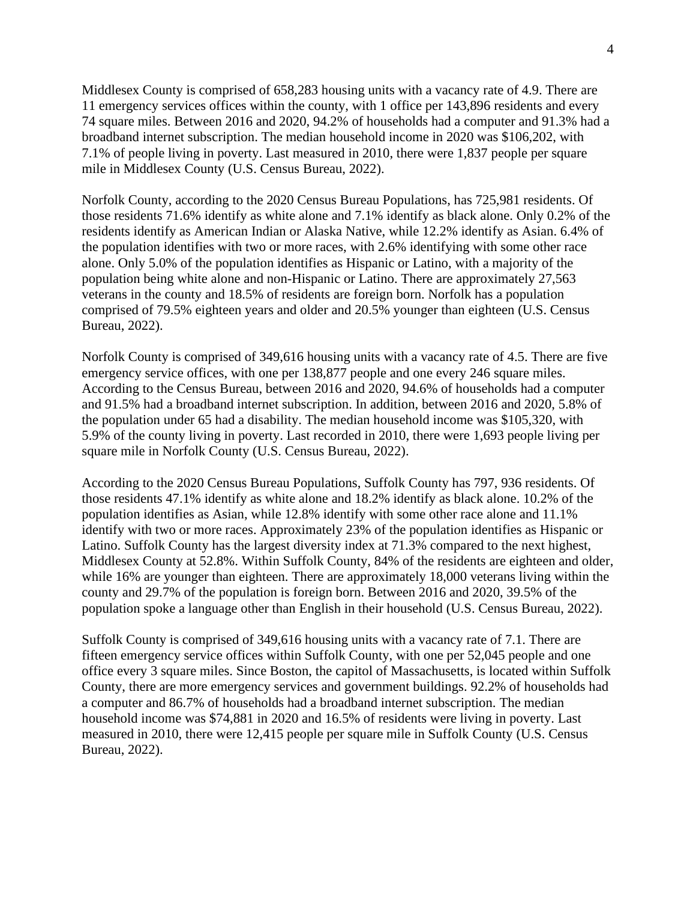Middlesex County is comprised of 658,283 housing units with a vacancy rate of 4.9. There are 11 emergency services offices within the county, with 1 office per 143,896 residents and every 74 square miles. Between 2016 and 2020, 94.2% of households had a computer and 91.3% had a broadband internet subscription. The median household income in 2020 was \$106,202, with 7.1% of people living in poverty. Last measured in 2010, there were 1,837 people per square mile in Middlesex County (U.S. Census Bureau, 2022).

Norfolk County, according to the 2020 Census Bureau Populations, has 725,981 residents. Of those residents 71.6% identify as white alone and 7.1% identify as black alone. Only 0.2% of the residents identify as American Indian or Alaska Native, while 12.2% identify as Asian. 6.4% of the population identifies with two or more races, with 2.6% identifying with some other race alone. Only 5.0% of the population identifies as Hispanic or Latino, with a majority of the population being white alone and non-Hispanic or Latino. There are approximately 27,563 veterans in the county and 18.5% of residents are foreign born. Norfolk has a population comprised of 79.5% eighteen years and older and 20.5% younger than eighteen (U.S. Census Bureau, 2022).

Norfolk County is comprised of 349,616 housing units with a vacancy rate of 4.5. There are five emergency service offices, with one per 138,877 people and one every 246 square miles. According to the Census Bureau, between 2016 and 2020, 94.6% of households had a computer and 91.5% had a broadband internet subscription. In addition, between 2016 and 2020, 5.8% of the population under 65 had a disability. The median household income was \$105,320, with 5.9% of the county living in poverty. Last recorded in 2010, there were 1,693 people living per square mile in Norfolk County (U.S. Census Bureau, 2022).

According to the 2020 Census Bureau Populations, Suffolk County has 797, 936 residents. Of those residents 47.1% identify as white alone and 18.2% identify as black alone. 10.2% of the population identifies as Asian, while 12.8% identify with some other race alone and 11.1% identify with two or more races. Approximately 23% of the population identifies as Hispanic or Latino. Suffolk County has the largest diversity index at 71.3% compared to the next highest, Middlesex County at 52.8%. Within Suffolk County, 84% of the residents are eighteen and older, while 16% are younger than eighteen. There are approximately 18,000 veterans living within the county and 29.7% of the population is foreign born. Between 2016 and 2020, 39.5% of the population spoke a language other than English in their household (U.S. Census Bureau, 2022).

Suffolk County is comprised of 349,616 housing units with a vacancy rate of 7.1. There are fifteen emergency service offices within Suffolk County, with one per 52,045 people and one office every 3 square miles. Since Boston, the capitol of Massachusetts, is located within Suffolk County, there are more emergency services and government buildings. 92.2% of households had a computer and 86.7% of households had a broadband internet subscription. The median household income was \$74,881 in 2020 and 16.5% of residents were living in poverty. Last measured in 2010, there were 12,415 people per square mile in Suffolk County (U.S. Census Bureau, 2022).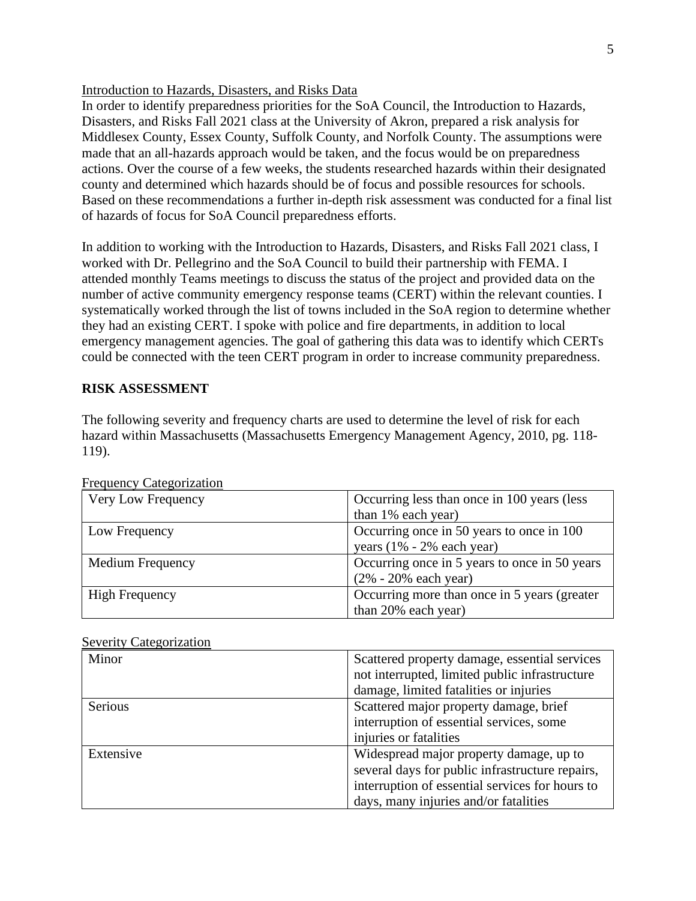# Introduction to Hazards, Disasters, and Risks Data

In order to identify preparedness priorities for the SoA Council, the Introduction to Hazards, Disasters, and Risks Fall 2021 class at the University of Akron, prepared a risk analysis for Middlesex County, Essex County, Suffolk County, and Norfolk County. The assumptions were made that an all-hazards approach would be taken, and the focus would be on preparedness actions. Over the course of a few weeks, the students researched hazards within their designated county and determined which hazards should be of focus and possible resources for schools. Based on these recommendations a further in-depth risk assessment was conducted for a final list of hazards of focus for SoA Council preparedness efforts.

In addition to working with the Introduction to Hazards, Disasters, and Risks Fall 2021 class, I worked with Dr. Pellegrino and the SoA Council to build their partnership with FEMA. I attended monthly Teams meetings to discuss the status of the project and provided data on the number of active community emergency response teams (CERT) within the relevant counties. I systematically worked through the list of towns included in the SoA region to determine whether they had an existing CERT. I spoke with police and fire departments, in addition to local emergency management agencies. The goal of gathering this data was to identify which CERTs could be connected with the teen CERT program in order to increase community preparedness.

# **RISK ASSESSMENT**

The following severity and frequency charts are used to determine the level of risk for each hazard within Massachusetts (Massachusetts Emergency Management Agency, 2010, pg. 118- 119).

| Trequency ealogorization |                                               |
|--------------------------|-----------------------------------------------|
| Very Low Frequency       | Occurring less than once in 100 years (less   |
|                          | than 1% each year)                            |
| Low Frequency            | Occurring once in 50 years to once in 100     |
|                          | years $(1\% - 2\% \text{ each year})$         |
| <b>Medium Frequency</b>  | Occurring once in 5 years to once in 50 years |
|                          | $(2\% - 20\% \text{ each year})$              |
| <b>High Frequency</b>    | Occurring more than once in 5 years (greater  |
|                          | than 20% each year)                           |

Frequency Categorization

|  | <b>Severity Categorization</b> |
|--|--------------------------------|
|  |                                |

| Minor          | Scattered property damage, essential services   |
|----------------|-------------------------------------------------|
|                | not interrupted, limited public infrastructure  |
|                | damage, limited fatalities or injuries          |
| <b>Serious</b> | Scattered major property damage, brief          |
|                | interruption of essential services, some        |
|                | injuries or fatalities                          |
| Extensive      | Widespread major property damage, up to         |
|                | several days for public infrastructure repairs, |
|                | interruption of essential services for hours to |
|                | days, many injuries and/or fatalities           |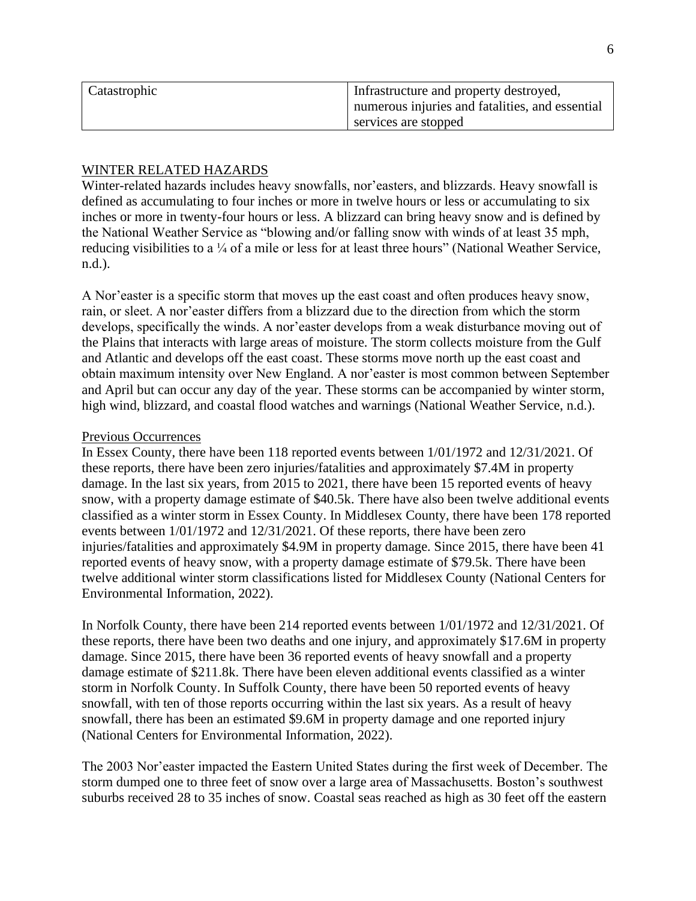| Catastrophic | Infrastructure and property destroyed,          |
|--------------|-------------------------------------------------|
|              | numerous injuries and fatalities, and essential |
|              | services are stopped                            |

# WINTER RELATED HAZARDS

Winter-related hazards includes heavy snowfalls, nor'easters, and blizzards. Heavy snowfall is defined as accumulating to four inches or more in twelve hours or less or accumulating to six inches or more in twenty-four hours or less. A blizzard can bring heavy snow and is defined by the National Weather Service as "blowing and/or falling snow with winds of at least 35 mph, reducing visibilities to a ¼ of a mile or less for at least three hours" (National Weather Service, n.d.).

A Nor'easter is a specific storm that moves up the east coast and often produces heavy snow, rain, or sleet. A nor'easter differs from a blizzard due to the direction from which the storm develops, specifically the winds. A nor'easter develops from a weak disturbance moving out of the Plains that interacts with large areas of moisture. The storm collects moisture from the Gulf and Atlantic and develops off the east coast. These storms move north up the east coast and obtain maximum intensity over New England. A nor'easter is most common between September and April but can occur any day of the year. These storms can be accompanied by winter storm, high wind, blizzard, and coastal flood watches and warnings (National Weather Service, n.d.).

# Previous Occurrences

In Essex County, there have been 118 reported events between 1/01/1972 and 12/31/2021. Of these reports, there have been zero injuries/fatalities and approximately \$7.4M in property damage. In the last six years, from 2015 to 2021, there have been 15 reported events of heavy snow, with a property damage estimate of \$40.5k. There have also been twelve additional events classified as a winter storm in Essex County. In Middlesex County, there have been 178 reported events between 1/01/1972 and 12/31/2021. Of these reports, there have been zero injuries/fatalities and approximately \$4.9M in property damage. Since 2015, there have been 41 reported events of heavy snow, with a property damage estimate of \$79.5k. There have been twelve additional winter storm classifications listed for Middlesex County (National Centers for Environmental Information, 2022).

In Norfolk County, there have been 214 reported events between 1/01/1972 and 12/31/2021. Of these reports, there have been two deaths and one injury, and approximately \$17.6M in property damage. Since 2015, there have been 36 reported events of heavy snowfall and a property damage estimate of \$211.8k. There have been eleven additional events classified as a winter storm in Norfolk County. In Suffolk County, there have been 50 reported events of heavy snowfall, with ten of those reports occurring within the last six years. As a result of heavy snowfall, there has been an estimated \$9.6M in property damage and one reported injury (National Centers for Environmental Information, 2022).

The 2003 Nor'easter impacted the Eastern United States during the first week of December. The storm dumped one to three feet of snow over a large area of Massachusetts. Boston's southwest suburbs received 28 to 35 inches of snow. Coastal seas reached as high as 30 feet off the eastern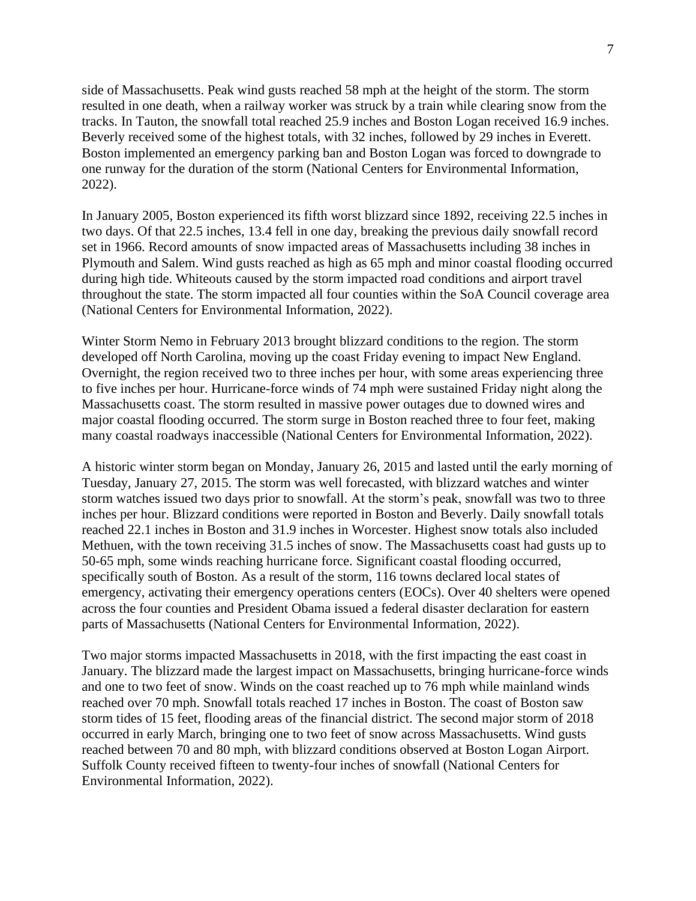side of Massachusetts. Peak wind gusts reached 58 mph at the height of the storm. The storm resulted in one death, when a railway worker was struck by a train while clearing snow from the tracks. In Tauton, the snowfall total reached 25.9 inches and Boston Logan received 16.9 inches. Beverly received some of the highest totals, with 32 inches, followed by 29 inches in Everett. Boston implemented an emergency parking ban and Boston Logan was forced to downgrade to one runway for the duration of the storm (National Centers for Environmental Information, 2022).

In January 2005, Boston experienced its fifth worst blizzard since 1892, receiving 22.5 inches in two days. Of that 22.5 inches, 13.4 fell in one day, breaking the previous daily snowfall record set in 1966. Record amounts of snow impacted areas of Massachusetts including 38 inches in Plymouth and Salem. Wind gusts reached as high as 65 mph and minor coastal flooding occurred during high tide. Whiteouts caused by the storm impacted road conditions and airport travel throughout the state. The storm impacted all four counties within the SoA Council coverage area (National Centers for Environmental Information, 2022).

Winter Storm Nemo in February 2013 brought blizzard conditions to the region. The storm developed off North Carolina, moving up the coast Friday evening to impact New England. Overnight, the region received two to three inches per hour, with some areas experiencing three to five inches per hour. Hurricane-force winds of 74 mph were sustained Friday night along the Massachusetts coast. The storm resulted in massive power outages due to downed wires and major coastal flooding occurred. The storm surge in Boston reached three to four feet, making many coastal roadways inaccessible (National Centers for Environmental Information, 2022).

A historic winter storm began on Monday, January 26, 2015 and lasted until the early morning of Tuesday, January 27, 2015. The storm was well forecasted, with blizzard watches and winter storm watches issued two days prior to snowfall. At the storm's peak, snowfall was two to three inches per hour. Blizzard conditions were reported in Boston and Beverly. Daily snowfall totals reached 22.1 inches in Boston and 31.9 inches in Worcester. Highest snow totals also included Methuen, with the town receiving 31.5 inches of snow. The Massachusetts coast had gusts up to 50-65 mph, some winds reaching hurricane force. Significant coastal flooding occurred, specifically south of Boston. As a result of the storm, 116 towns declared local states of emergency, activating their emergency operations centers (EOCs). Over 40 shelters were opened across the four counties and President Obama issued a federal disaster declaration for eastern parts of Massachusetts (National Centers for Environmental Information, 2022).

Two major storms impacted Massachusetts in 2018, with the first impacting the east coast in January. The blizzard made the largest impact on Massachusetts, bringing hurricane-force winds and one to two feet of snow. Winds on the coast reached up to 76 mph while mainland winds reached over 70 mph. Snowfall totals reached 17 inches in Boston. The coast of Boston saw storm tides of 15 feet, flooding areas of the financial district. The second major storm of 2018 occurred in early March, bringing one to two feet of snow across Massachusetts. Wind gusts reached between 70 and 80 mph, with blizzard conditions observed at Boston Logan Airport. Suffolk County received fifteen to twenty-four inches of snowfall (National Centers for Environmental Information, 2022).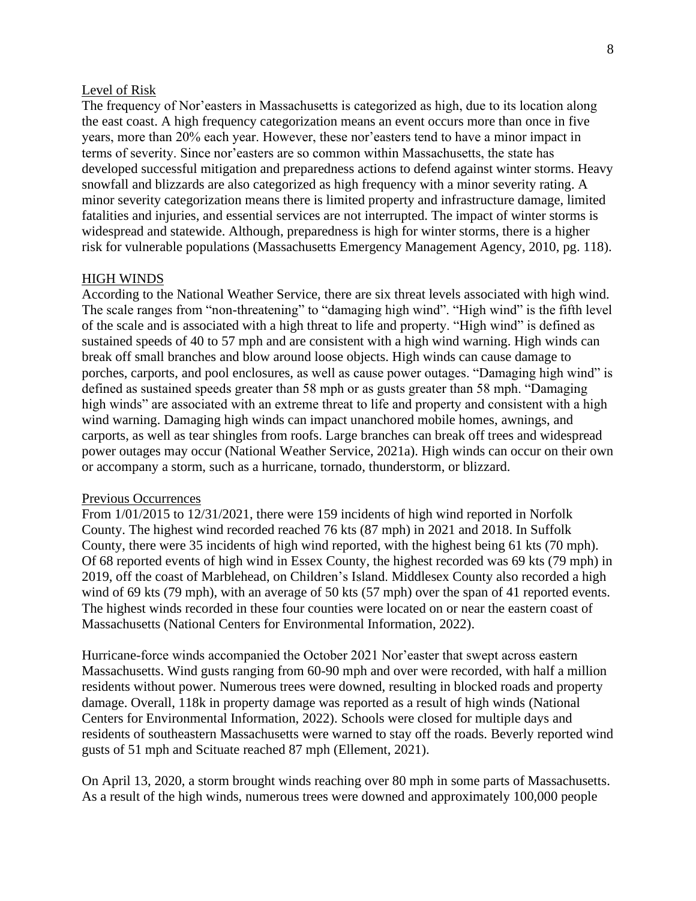## Level of Risk

The frequency of Nor'easters in Massachusetts is categorized as high, due to its location along the east coast. A high frequency categorization means an event occurs more than once in five years, more than 20% each year. However, these nor'easters tend to have a minor impact in terms of severity. Since nor'easters are so common within Massachusetts, the state has developed successful mitigation and preparedness actions to defend against winter storms. Heavy snowfall and blizzards are also categorized as high frequency with a minor severity rating. A minor severity categorization means there is limited property and infrastructure damage, limited fatalities and injuries, and essential services are not interrupted. The impact of winter storms is widespread and statewide. Although, preparedness is high for winter storms, there is a higher risk for vulnerable populations (Massachusetts Emergency Management Agency, 2010, pg. 118).

# HIGH WINDS

According to the National Weather Service, there are six threat levels associated with high wind. The scale ranges from "non-threatening" to "damaging high wind". "High wind" is the fifth level of the scale and is associated with a high threat to life and property. "High wind" is defined as sustained speeds of 40 to 57 mph and are consistent with a high wind warning. High winds can break off small branches and blow around loose objects. High winds can cause damage to porches, carports, and pool enclosures, as well as cause power outages. "Damaging high wind" is defined as sustained speeds greater than 58 mph or as gusts greater than 58 mph. "Damaging high winds" are associated with an extreme threat to life and property and consistent with a high wind warning. Damaging high winds can impact unanchored mobile homes, awnings, and carports, as well as tear shingles from roofs. Large branches can break off trees and widespread power outages may occur (National Weather Service, 2021a). High winds can occur on their own or accompany a storm, such as a hurricane, tornado, thunderstorm, or blizzard.

#### Previous Occurrences

From 1/01/2015 to 12/31/2021, there were 159 incidents of high wind reported in Norfolk County. The highest wind recorded reached 76 kts (87 mph) in 2021 and 2018. In Suffolk County, there were 35 incidents of high wind reported, with the highest being 61 kts (70 mph). Of 68 reported events of high wind in Essex County, the highest recorded was 69 kts (79 mph) in 2019, off the coast of Marblehead, on Children's Island. Middlesex County also recorded a high wind of 69 kts (79 mph), with an average of 50 kts (57 mph) over the span of 41 reported events. The highest winds recorded in these four counties were located on or near the eastern coast of Massachusetts (National Centers for Environmental Information, 2022).

Hurricane-force winds accompanied the October 2021 Nor'easter that swept across eastern Massachusetts. Wind gusts ranging from 60-90 mph and over were recorded, with half a million residents without power. Numerous trees were downed, resulting in blocked roads and property damage. Overall, 118k in property damage was reported as a result of high winds (National Centers for Environmental Information, 2022). Schools were closed for multiple days and residents of southeastern Massachusetts were warned to stay off the roads. Beverly reported wind gusts of 51 mph and Scituate reached 87 mph (Ellement, 2021).

On April 13, 2020, a storm brought winds reaching over 80 mph in some parts of Massachusetts. As a result of the high winds, numerous trees were downed and approximately 100,000 people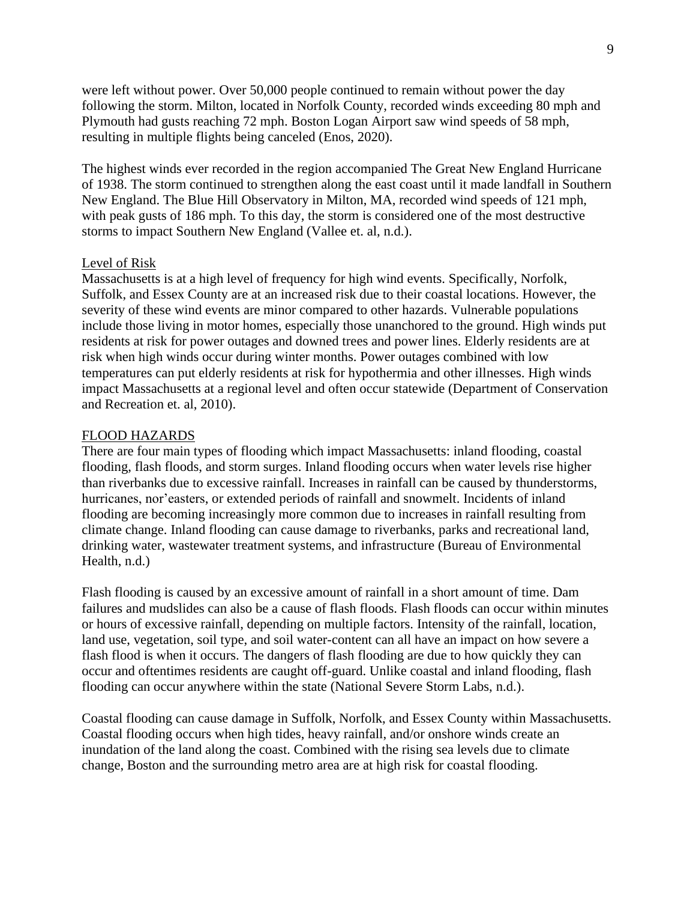were left without power. Over 50,000 people continued to remain without power the day following the storm. Milton, located in Norfolk County, recorded winds exceeding 80 mph and Plymouth had gusts reaching 72 mph. Boston Logan Airport saw wind speeds of 58 mph, resulting in multiple flights being canceled (Enos, 2020).

The highest winds ever recorded in the region accompanied The Great New England Hurricane of 1938. The storm continued to strengthen along the east coast until it made landfall in Southern New England. The Blue Hill Observatory in Milton, MA, recorded wind speeds of 121 mph, with peak gusts of 186 mph. To this day, the storm is considered one of the most destructive storms to impact Southern New England (Vallee et. al, n.d.).

# Level of Risk

Massachusetts is at a high level of frequency for high wind events. Specifically, Norfolk, Suffolk, and Essex County are at an increased risk due to their coastal locations. However, the severity of these wind events are minor compared to other hazards. Vulnerable populations include those living in motor homes, especially those unanchored to the ground. High winds put residents at risk for power outages and downed trees and power lines. Elderly residents are at risk when high winds occur during winter months. Power outages combined with low temperatures can put elderly residents at risk for hypothermia and other illnesses. High winds impact Massachusetts at a regional level and often occur statewide (Department of Conservation and Recreation et. al, 2010).

#### FLOOD HAZARDS

There are four main types of flooding which impact Massachusetts: inland flooding, coastal flooding, flash floods, and storm surges. Inland flooding occurs when water levels rise higher than riverbanks due to excessive rainfall. Increases in rainfall can be caused by thunderstorms, hurricanes, nor'easters, or extended periods of rainfall and snowmelt. Incidents of inland flooding are becoming increasingly more common due to increases in rainfall resulting from climate change. Inland flooding can cause damage to riverbanks, parks and recreational land, drinking water, wastewater treatment systems, and infrastructure (Bureau of Environmental Health, n.d.)

Flash flooding is caused by an excessive amount of rainfall in a short amount of time. Dam failures and mudslides can also be a cause of flash floods. Flash floods can occur within minutes or hours of excessive rainfall, depending on multiple factors. Intensity of the rainfall, location, land use, vegetation, soil type, and soil water-content can all have an impact on how severe a flash flood is when it occurs. The dangers of flash flooding are due to how quickly they can occur and oftentimes residents are caught off-guard. Unlike coastal and inland flooding, flash flooding can occur anywhere within the state (National Severe Storm Labs, n.d.).

Coastal flooding can cause damage in Suffolk, Norfolk, and Essex County within Massachusetts. Coastal flooding occurs when high tides, heavy rainfall, and/or onshore winds create an inundation of the land along the coast. Combined with the rising sea levels due to climate change, Boston and the surrounding metro area are at high risk for coastal flooding.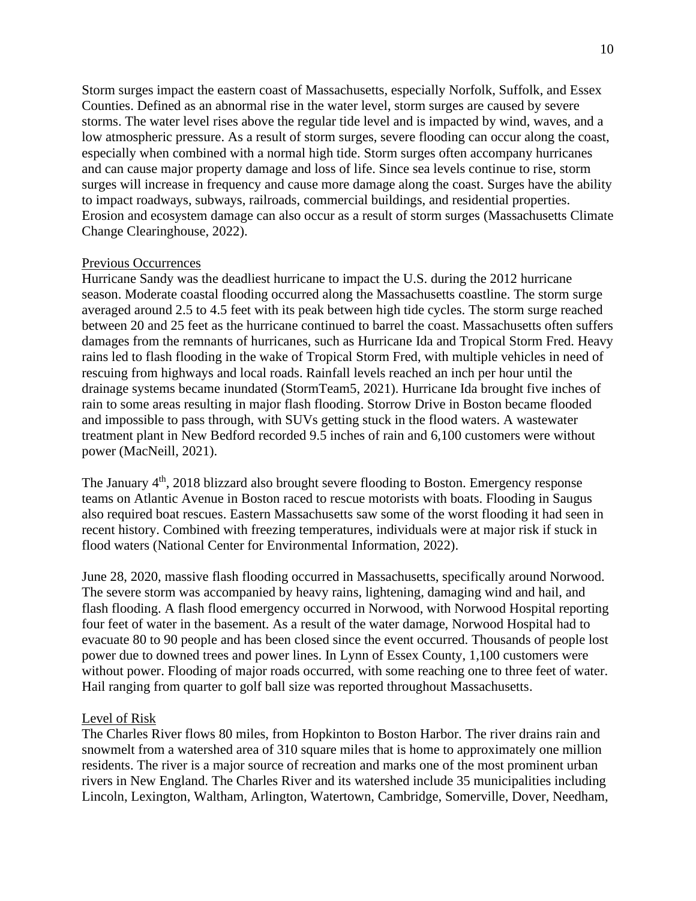Storm surges impact the eastern coast of Massachusetts, especially Norfolk, Suffolk, and Essex Counties. Defined as an abnormal rise in the water level, storm surges are caused by severe storms. The water level rises above the regular tide level and is impacted by wind, waves, and a low atmospheric pressure. As a result of storm surges, severe flooding can occur along the coast, especially when combined with a normal high tide. Storm surges often accompany hurricanes and can cause major property damage and loss of life. Since sea levels continue to rise, storm surges will increase in frequency and cause more damage along the coast. Surges have the ability to impact roadways, subways, railroads, commercial buildings, and residential properties. Erosion and ecosystem damage can also occur as a result of storm surges (Massachusetts Climate Change Clearinghouse, 2022).

# Previous Occurrences

Hurricane Sandy was the deadliest hurricane to impact the U.S. during the 2012 hurricane season. Moderate coastal flooding occurred along the Massachusetts coastline. The storm surge averaged around 2.5 to 4.5 feet with its peak between high tide cycles. The storm surge reached between 20 and 25 feet as the hurricane continued to barrel the coast. Massachusetts often suffers damages from the remnants of hurricanes, such as Hurricane Ida and Tropical Storm Fred. Heavy rains led to flash flooding in the wake of Tropical Storm Fred, with multiple vehicles in need of rescuing from highways and local roads. Rainfall levels reached an inch per hour until the drainage systems became inundated (StormTeam5, 2021). Hurricane Ida brought five inches of rain to some areas resulting in major flash flooding. Storrow Drive in Boston became flooded and impossible to pass through, with SUVs getting stuck in the flood waters. A wastewater treatment plant in New Bedford recorded 9.5 inches of rain and 6,100 customers were without power (MacNeill, 2021).

The January  $4<sup>th</sup>$ , 2018 blizzard also brought severe flooding to Boston. Emergency response teams on Atlantic Avenue in Boston raced to rescue motorists with boats. Flooding in Saugus also required boat rescues. Eastern Massachusetts saw some of the worst flooding it had seen in recent history. Combined with freezing temperatures, individuals were at major risk if stuck in flood waters (National Center for Environmental Information, 2022).

June 28, 2020, massive flash flooding occurred in Massachusetts, specifically around Norwood. The severe storm was accompanied by heavy rains, lightening, damaging wind and hail, and flash flooding. A flash flood emergency occurred in Norwood, with Norwood Hospital reporting four feet of water in the basement. As a result of the water damage, Norwood Hospital had to evacuate 80 to 90 people and has been closed since the event occurred. Thousands of people lost power due to downed trees and power lines. In Lynn of Essex County, 1,100 customers were without power. Flooding of major roads occurred, with some reaching one to three feet of water. Hail ranging from quarter to golf ball size was reported throughout Massachusetts.

#### Level of Risk

The Charles River flows 80 miles, from Hopkinton to Boston Harbor. The river drains rain and snowmelt from a watershed area of 310 square miles that is home to approximately one million residents. The river is a major source of recreation and marks one of the most prominent urban rivers in New England. The Charles River and its watershed include 35 municipalities including Lincoln, Lexington, Waltham, Arlington, Watertown, Cambridge, Somerville, Dover, Needham,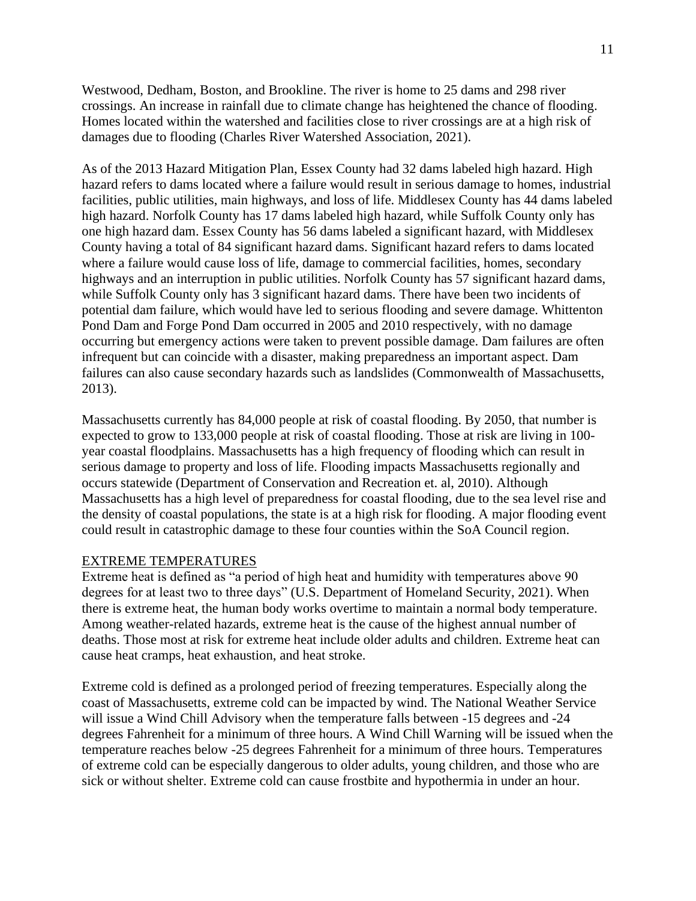Westwood, Dedham, Boston, and Brookline. The river is home to 25 dams and 298 river crossings. An increase in rainfall due to climate change has heightened the chance of flooding. Homes located within the watershed and facilities close to river crossings are at a high risk of damages due to flooding (Charles River Watershed Association, 2021).

As of the 2013 Hazard Mitigation Plan, Essex County had 32 dams labeled high hazard. High hazard refers to dams located where a failure would result in serious damage to homes, industrial facilities, public utilities, main highways, and loss of life. Middlesex County has 44 dams labeled high hazard. Norfolk County has 17 dams labeled high hazard, while Suffolk County only has one high hazard dam. Essex County has 56 dams labeled a significant hazard, with Middlesex County having a total of 84 significant hazard dams. Significant hazard refers to dams located where a failure would cause loss of life, damage to commercial facilities, homes, secondary highways and an interruption in public utilities. Norfolk County has 57 significant hazard dams, while Suffolk County only has 3 significant hazard dams. There have been two incidents of potential dam failure, which would have led to serious flooding and severe damage. Whittenton Pond Dam and Forge Pond Dam occurred in 2005 and 2010 respectively, with no damage occurring but emergency actions were taken to prevent possible damage. Dam failures are often infrequent but can coincide with a disaster, making preparedness an important aspect. Dam failures can also cause secondary hazards such as landslides (Commonwealth of Massachusetts, 2013).

Massachusetts currently has 84,000 people at risk of coastal flooding. By 2050, that number is expected to grow to 133,000 people at risk of coastal flooding. Those at risk are living in 100 year coastal floodplains. Massachusetts has a high frequency of flooding which can result in serious damage to property and loss of life. Flooding impacts Massachusetts regionally and occurs statewide (Department of Conservation and Recreation et. al, 2010). Although Massachusetts has a high level of preparedness for coastal flooding, due to the sea level rise and the density of coastal populations, the state is at a high risk for flooding. A major flooding event could result in catastrophic damage to these four counties within the SoA Council region.

# EXTREME TEMPERATURES

Extreme heat is defined as "a period of high heat and humidity with temperatures above 90 degrees for at least two to three days" (U.S. Department of Homeland Security, 2021). When there is extreme heat, the human body works overtime to maintain a normal body temperature. Among weather-related hazards, extreme heat is the cause of the highest annual number of deaths. Those most at risk for extreme heat include older adults and children. Extreme heat can cause heat cramps, heat exhaustion, and heat stroke.

Extreme cold is defined as a prolonged period of freezing temperatures. Especially along the coast of Massachusetts, extreme cold can be impacted by wind. The National Weather Service will issue a Wind Chill Advisory when the temperature falls between -15 degrees and -24 degrees Fahrenheit for a minimum of three hours. A Wind Chill Warning will be issued when the temperature reaches below -25 degrees Fahrenheit for a minimum of three hours. Temperatures of extreme cold can be especially dangerous to older adults, young children, and those who are sick or without shelter. Extreme cold can cause frostbite and hypothermia in under an hour.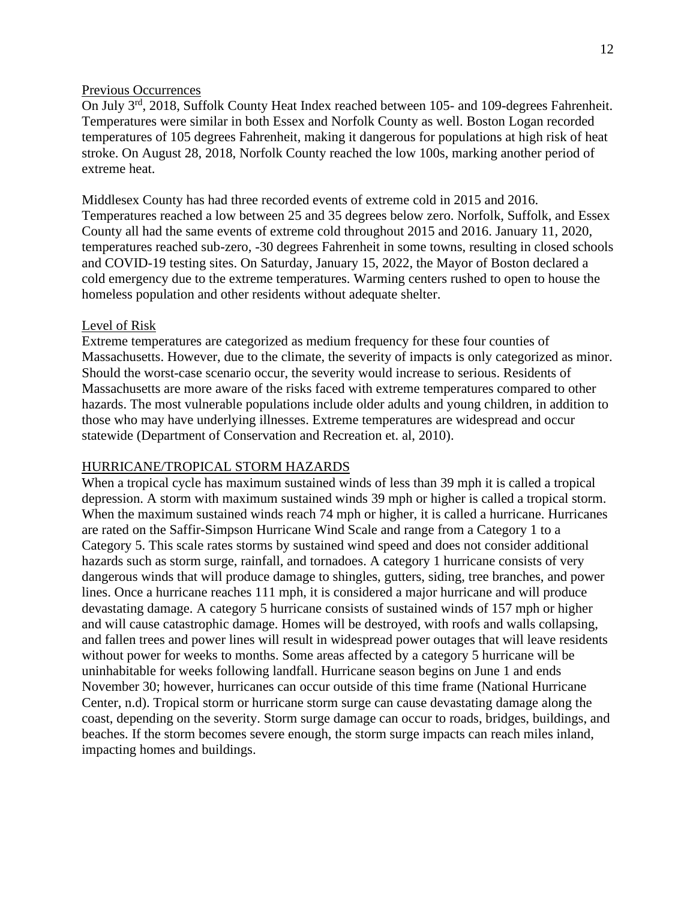#### Previous Occurrences

On July 3<sup>rd</sup>, 2018, Suffolk County Heat Index reached between 105- and 109-degrees Fahrenheit. Temperatures were similar in both Essex and Norfolk County as well. Boston Logan recorded temperatures of 105 degrees Fahrenheit, making it dangerous for populations at high risk of heat stroke. On August 28, 2018, Norfolk County reached the low 100s, marking another period of extreme heat.

Middlesex County has had three recorded events of extreme cold in 2015 and 2016. Temperatures reached a low between 25 and 35 degrees below zero. Norfolk, Suffolk, and Essex County all had the same events of extreme cold throughout 2015 and 2016. January 11, 2020, temperatures reached sub-zero, -30 degrees Fahrenheit in some towns, resulting in closed schools and COVID-19 testing sites. On Saturday, January 15, 2022, the Mayor of Boston declared a cold emergency due to the extreme temperatures. Warming centers rushed to open to house the homeless population and other residents without adequate shelter.

#### Level of Risk

Extreme temperatures are categorized as medium frequency for these four counties of Massachusetts. However, due to the climate, the severity of impacts is only categorized as minor. Should the worst-case scenario occur, the severity would increase to serious. Residents of Massachusetts are more aware of the risks faced with extreme temperatures compared to other hazards. The most vulnerable populations include older adults and young children, in addition to those who may have underlying illnesses. Extreme temperatures are widespread and occur statewide (Department of Conservation and Recreation et. al, 2010).

## HURRICANE/TROPICAL STORM HAZARDS

When a tropical cycle has maximum sustained winds of less than 39 mph it is called a tropical depression. A storm with maximum sustained winds 39 mph or higher is called a tropical storm. When the maximum sustained winds reach 74 mph or higher, it is called a hurricane. Hurricanes are rated on the Saffir-Simpson Hurricane Wind Scale and range from a Category 1 to a Category 5. This scale rates storms by sustained wind speed and does not consider additional hazards such as storm surge, rainfall, and tornadoes. A category 1 hurricane consists of very dangerous winds that will produce damage to shingles, gutters, siding, tree branches, and power lines. Once a hurricane reaches 111 mph, it is considered a major hurricane and will produce devastating damage. A category 5 hurricane consists of sustained winds of 157 mph or higher and will cause catastrophic damage. Homes will be destroyed, with roofs and walls collapsing, and fallen trees and power lines will result in widespread power outages that will leave residents without power for weeks to months. Some areas affected by a category 5 hurricane will be uninhabitable for weeks following landfall. Hurricane season begins on June 1 and ends November 30; however, hurricanes can occur outside of this time frame (National Hurricane Center, n.d). Tropical storm or hurricane storm surge can cause devastating damage along the coast, depending on the severity. Storm surge damage can occur to roads, bridges, buildings, and beaches. If the storm becomes severe enough, the storm surge impacts can reach miles inland, impacting homes and buildings.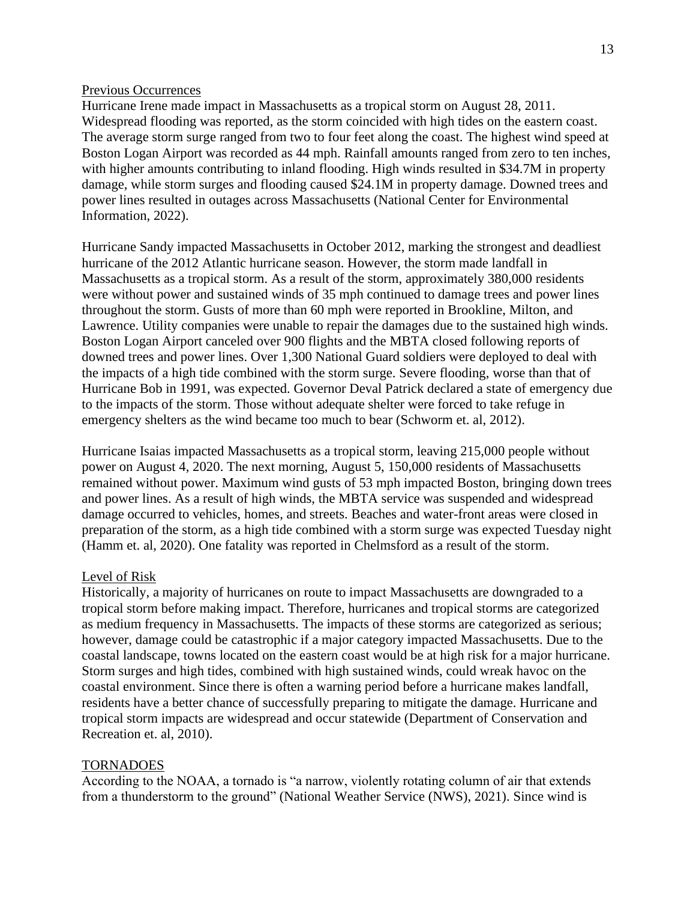#### Previous Occurrences

Hurricane Irene made impact in Massachusetts as a tropical storm on August 28, 2011. Widespread flooding was reported, as the storm coincided with high tides on the eastern coast. The average storm surge ranged from two to four feet along the coast. The highest wind speed at Boston Logan Airport was recorded as 44 mph. Rainfall amounts ranged from zero to ten inches, with higher amounts contributing to inland flooding. High winds resulted in \$34.7M in property damage, while storm surges and flooding caused \$24.1M in property damage. Downed trees and power lines resulted in outages across Massachusetts (National Center for Environmental Information, 2022).

Hurricane Sandy impacted Massachusetts in October 2012, marking the strongest and deadliest hurricane of the 2012 Atlantic hurricane season. However, the storm made landfall in Massachusetts as a tropical storm. As a result of the storm, approximately 380,000 residents were without power and sustained winds of 35 mph continued to damage trees and power lines throughout the storm. Gusts of more than 60 mph were reported in Brookline, Milton, and Lawrence. Utility companies were unable to repair the damages due to the sustained high winds. Boston Logan Airport canceled over 900 flights and the MBTA closed following reports of downed trees and power lines. Over 1,300 National Guard soldiers were deployed to deal with the impacts of a high tide combined with the storm surge. Severe flooding, worse than that of Hurricane Bob in 1991, was expected. Governor Deval Patrick declared a state of emergency due to the impacts of the storm. Those without adequate shelter were forced to take refuge in emergency shelters as the wind became too much to bear (Schworm et. al, 2012).

Hurricane Isaias impacted Massachusetts as a tropical storm, leaving 215,000 people without power on August 4, 2020. The next morning, August 5, 150,000 residents of Massachusetts remained without power. Maximum wind gusts of 53 mph impacted Boston, bringing down trees and power lines. As a result of high winds, the MBTA service was suspended and widespread damage occurred to vehicles, homes, and streets. Beaches and water-front areas were closed in preparation of the storm, as a high tide combined with a storm surge was expected Tuesday night (Hamm et. al, 2020). One fatality was reported in Chelmsford as a result of the storm.

# Level of Risk

Historically, a majority of hurricanes on route to impact Massachusetts are downgraded to a tropical storm before making impact. Therefore, hurricanes and tropical storms are categorized as medium frequency in Massachusetts. The impacts of these storms are categorized as serious; however, damage could be catastrophic if a major category impacted Massachusetts. Due to the coastal landscape, towns located on the eastern coast would be at high risk for a major hurricane. Storm surges and high tides, combined with high sustained winds, could wreak havoc on the coastal environment. Since there is often a warning period before a hurricane makes landfall, residents have a better chance of successfully preparing to mitigate the damage. Hurricane and tropical storm impacts are widespread and occur statewide (Department of Conservation and Recreation et. al, 2010).

#### TORNADOES

According to the NOAA, a tornado is "a narrow, violently rotating column of air that extends from a thunderstorm to the ground" (National Weather Service (NWS), 2021). Since wind is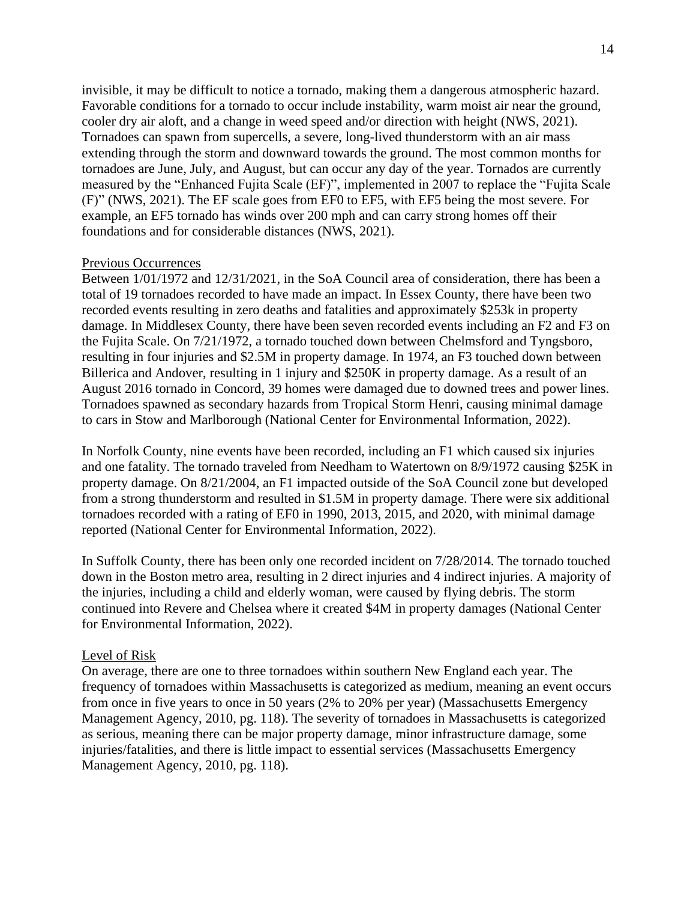invisible, it may be difficult to notice a tornado, making them a dangerous atmospheric hazard. Favorable conditions for a tornado to occur include instability, warm moist air near the ground, cooler dry air aloft, and a change in weed speed and/or direction with height (NWS, 2021). Tornadoes can spawn from supercells, a severe, long-lived thunderstorm with an air mass extending through the storm and downward towards the ground. The most common months for tornadoes are June, July, and August, but can occur any day of the year. Tornados are currently measured by the "Enhanced Fujita Scale (EF)", implemented in 2007 to replace the "Fujita Scale (F)" (NWS, 2021). The EF scale goes from EF0 to EF5, with EF5 being the most severe. For example, an EF5 tornado has winds over 200 mph and can carry strong homes off their foundations and for considerable distances (NWS, 2021).

# Previous Occurrences

Between 1/01/1972 and 12/31/2021, in the SoA Council area of consideration, there has been a total of 19 tornadoes recorded to have made an impact. In Essex County, there have been two recorded events resulting in zero deaths and fatalities and approximately \$253k in property damage. In Middlesex County, there have been seven recorded events including an F2 and F3 on the Fujita Scale. On 7/21/1972, a tornado touched down between Chelmsford and Tyngsboro, resulting in four injuries and \$2.5M in property damage. In 1974, an F3 touched down between Billerica and Andover, resulting in 1 injury and \$250K in property damage. As a result of an August 2016 tornado in Concord, 39 homes were damaged due to downed trees and power lines. Tornadoes spawned as secondary hazards from Tropical Storm Henri, causing minimal damage to cars in Stow and Marlborough (National Center for Environmental Information, 2022).

In Norfolk County, nine events have been recorded, including an F1 which caused six injuries and one fatality. The tornado traveled from Needham to Watertown on 8/9/1972 causing \$25K in property damage. On 8/21/2004, an F1 impacted outside of the SoA Council zone but developed from a strong thunderstorm and resulted in \$1.5M in property damage. There were six additional tornadoes recorded with a rating of EF0 in 1990, 2013, 2015, and 2020, with minimal damage reported (National Center for Environmental Information, 2022).

In Suffolk County, there has been only one recorded incident on 7/28/2014. The tornado touched down in the Boston metro area, resulting in 2 direct injuries and 4 indirect injuries. A majority of the injuries, including a child and elderly woman, were caused by flying debris. The storm continued into Revere and Chelsea where it created \$4M in property damages (National Center for Environmental Information, 2022).

#### Level of Risk

On average, there are one to three tornadoes within southern New England each year. The frequency of tornadoes within Massachusetts is categorized as medium, meaning an event occurs from once in five years to once in 50 years (2% to 20% per year) (Massachusetts Emergency Management Agency, 2010, pg. 118). The severity of tornadoes in Massachusetts is categorized as serious, meaning there can be major property damage, minor infrastructure damage, some injuries/fatalities, and there is little impact to essential services (Massachusetts Emergency Management Agency, 2010, pg. 118).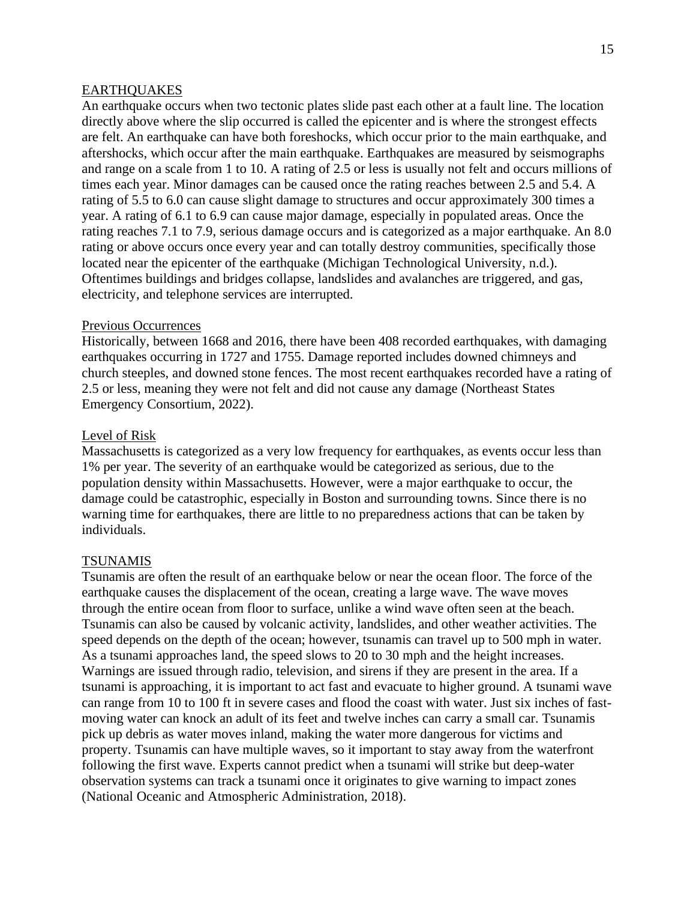## **EARTHOUAKES**

An earthquake occurs when two tectonic plates slide past each other at a fault line. The location directly above where the slip occurred is called the epicenter and is where the strongest effects are felt. An earthquake can have both foreshocks, which occur prior to the main earthquake, and aftershocks, which occur after the main earthquake. Earthquakes are measured by seismographs and range on a scale from 1 to 10. A rating of 2.5 or less is usually not felt and occurs millions of times each year. Minor damages can be caused once the rating reaches between 2.5 and 5.4. A rating of 5.5 to 6.0 can cause slight damage to structures and occur approximately 300 times a year. A rating of 6.1 to 6.9 can cause major damage, especially in populated areas. Once the rating reaches 7.1 to 7.9, serious damage occurs and is categorized as a major earthquake. An 8.0 rating or above occurs once every year and can totally destroy communities, specifically those located near the epicenter of the earthquake (Michigan Technological University, n.d.). Oftentimes buildings and bridges collapse, landslides and avalanches are triggered, and gas, electricity, and telephone services are interrupted.

#### Previous Occurrences

Historically, between 1668 and 2016, there have been 408 recorded earthquakes, with damaging earthquakes occurring in 1727 and 1755. Damage reported includes downed chimneys and church steeples, and downed stone fences. The most recent earthquakes recorded have a rating of 2.5 or less, meaning they were not felt and did not cause any damage (Northeast States Emergency Consortium, 2022).

#### Level of Risk

Massachusetts is categorized as a very low frequency for earthquakes, as events occur less than 1% per year. The severity of an earthquake would be categorized as serious, due to the population density within Massachusetts. However, were a major earthquake to occur, the damage could be catastrophic, especially in Boston and surrounding towns. Since there is no warning time for earthquakes, there are little to no preparedness actions that can be taken by individuals.

#### TSUNAMIS

Tsunamis are often the result of an earthquake below or near the ocean floor. The force of the earthquake causes the displacement of the ocean, creating a large wave. The wave moves through the entire ocean from floor to surface, unlike a wind wave often seen at the beach. Tsunamis can also be caused by volcanic activity, landslides, and other weather activities. The speed depends on the depth of the ocean; however, tsunamis can travel up to 500 mph in water. As a tsunami approaches land, the speed slows to 20 to 30 mph and the height increases. Warnings are issued through radio, television, and sirens if they are present in the area. If a tsunami is approaching, it is important to act fast and evacuate to higher ground. A tsunami wave can range from 10 to 100 ft in severe cases and flood the coast with water. Just six inches of fastmoving water can knock an adult of its feet and twelve inches can carry a small car. Tsunamis pick up debris as water moves inland, making the water more dangerous for victims and property. Tsunamis can have multiple waves, so it important to stay away from the waterfront following the first wave. Experts cannot predict when a tsunami will strike but deep-water observation systems can track a tsunami once it originates to give warning to impact zones (National Oceanic and Atmospheric Administration, 2018).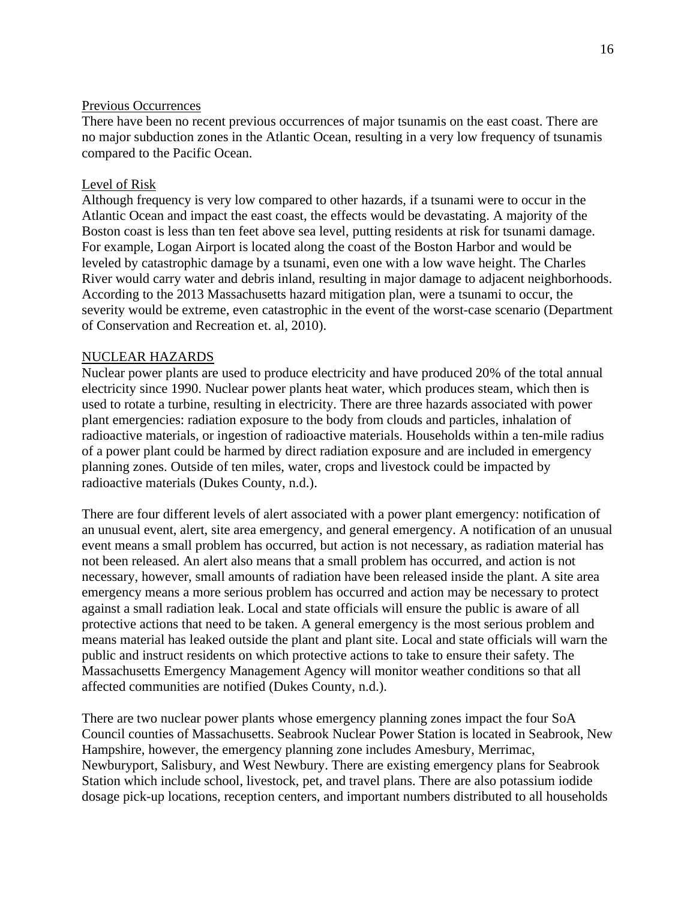# Previous Occurrences

There have been no recent previous occurrences of major tsunamis on the east coast. There are no major subduction zones in the Atlantic Ocean, resulting in a very low frequency of tsunamis compared to the Pacific Ocean.

# Level of Risk

Although frequency is very low compared to other hazards, if a tsunami were to occur in the Atlantic Ocean and impact the east coast, the effects would be devastating. A majority of the Boston coast is less than ten feet above sea level, putting residents at risk for tsunami damage. For example, Logan Airport is located along the coast of the Boston Harbor and would be leveled by catastrophic damage by a tsunami, even one with a low wave height. The Charles River would carry water and debris inland, resulting in major damage to adjacent neighborhoods. According to the 2013 Massachusetts hazard mitigation plan, were a tsunami to occur, the severity would be extreme, even catastrophic in the event of the worst-case scenario (Department of Conservation and Recreation et. al, 2010).

# NUCLEAR HAZARDS

Nuclear power plants are used to produce electricity and have produced 20% of the total annual electricity since 1990. Nuclear power plants heat water, which produces steam, which then is used to rotate a turbine, resulting in electricity. There are three hazards associated with power plant emergencies: radiation exposure to the body from clouds and particles, inhalation of radioactive materials, or ingestion of radioactive materials. Households within a ten-mile radius of a power plant could be harmed by direct radiation exposure and are included in emergency planning zones. Outside of ten miles, water, crops and livestock could be impacted by radioactive materials (Dukes County, n.d.).

There are four different levels of alert associated with a power plant emergency: notification of an unusual event, alert, site area emergency, and general emergency. A notification of an unusual event means a small problem has occurred, but action is not necessary, as radiation material has not been released. An alert also means that a small problem has occurred, and action is not necessary, however, small amounts of radiation have been released inside the plant. A site area emergency means a more serious problem has occurred and action may be necessary to protect against a small radiation leak. Local and state officials will ensure the public is aware of all protective actions that need to be taken. A general emergency is the most serious problem and means material has leaked outside the plant and plant site. Local and state officials will warn the public and instruct residents on which protective actions to take to ensure their safety. The Massachusetts Emergency Management Agency will monitor weather conditions so that all affected communities are notified (Dukes County, n.d.).

There are two nuclear power plants whose emergency planning zones impact the four SoA Council counties of Massachusetts. Seabrook Nuclear Power Station is located in Seabrook, New Hampshire, however, the emergency planning zone includes Amesbury, Merrimac, Newburyport, Salisbury, and West Newbury. There are existing emergency plans for Seabrook Station which include school, livestock, pet, and travel plans. There are also potassium iodide dosage pick-up locations, reception centers, and important numbers distributed to all households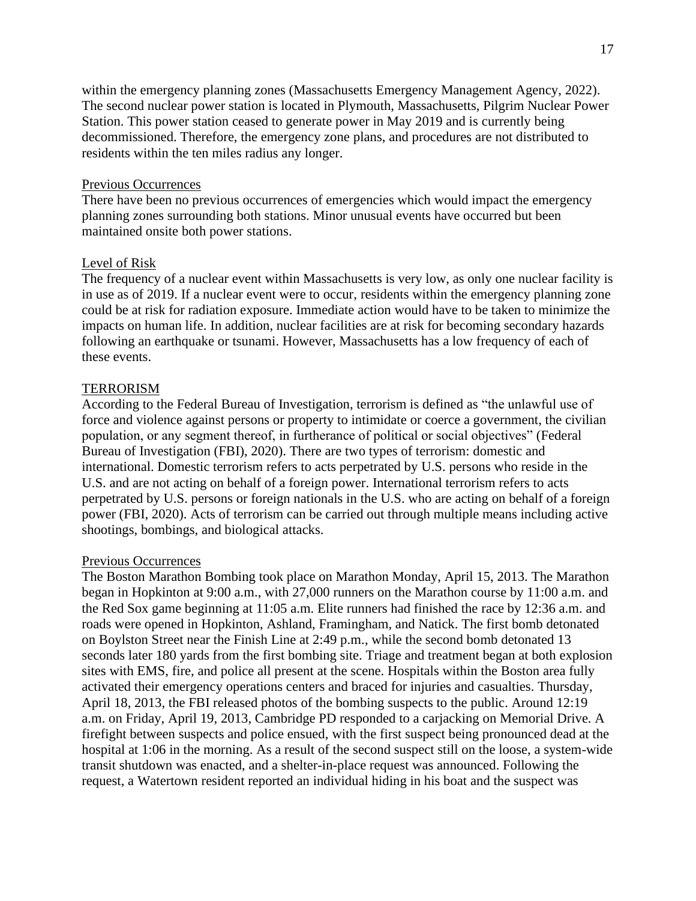within the emergency planning zones (Massachusetts Emergency Management Agency, 2022). The second nuclear power station is located in Plymouth, Massachusetts, Pilgrim Nuclear Power Station. This power station ceased to generate power in May 2019 and is currently being decommissioned. Therefore, the emergency zone plans, and procedures are not distributed to residents within the ten miles radius any longer.

# Previous Occurrences

There have been no previous occurrences of emergencies which would impact the emergency planning zones surrounding both stations. Minor unusual events have occurred but been maintained onsite both power stations.

# Level of Risk

The frequency of a nuclear event within Massachusetts is very low, as only one nuclear facility is in use as of 2019. If a nuclear event were to occur, residents within the emergency planning zone could be at risk for radiation exposure. Immediate action would have to be taken to minimize the impacts on human life. In addition, nuclear facilities are at risk for becoming secondary hazards following an earthquake or tsunami. However, Massachusetts has a low frequency of each of these events.

#### TERRORISM

According to the Federal Bureau of Investigation, terrorism is defined as "the unlawful use of force and violence against persons or property to intimidate or coerce a government, the civilian population, or any segment thereof, in furtherance of political or social objectives" (Federal Bureau of Investigation (FBI), 2020). There are two types of terrorism: domestic and international. Domestic terrorism refers to acts perpetrated by U.S. persons who reside in the U.S. and are not acting on behalf of a foreign power. International terrorism refers to acts perpetrated by U.S. persons or foreign nationals in the U.S. who are acting on behalf of a foreign power (FBI, 2020). Acts of terrorism can be carried out through multiple means including active shootings, bombings, and biological attacks.

#### Previous Occurrences

The Boston Marathon Bombing took place on Marathon Monday, April 15, 2013. The Marathon began in Hopkinton at 9:00 a.m., with 27,000 runners on the Marathon course by 11:00 a.m. and the Red Sox game beginning at 11:05 a.m. Elite runners had finished the race by 12:36 a.m. and roads were opened in Hopkinton, Ashland, Framingham, and Natick. The first bomb detonated on Boylston Street near the Finish Line at 2:49 p.m., while the second bomb detonated 13 seconds later 180 yards from the first bombing site. Triage and treatment began at both explosion sites with EMS, fire, and police all present at the scene. Hospitals within the Boston area fully activated their emergency operations centers and braced for injuries and casualties. Thursday, April 18, 2013, the FBI released photos of the bombing suspects to the public. Around 12:19 a.m. on Friday, April 19, 2013, Cambridge PD responded to a carjacking on Memorial Drive. A firefight between suspects and police ensued, with the first suspect being pronounced dead at the hospital at 1:06 in the morning. As a result of the second suspect still on the loose, a system-wide transit shutdown was enacted, and a shelter-in-place request was announced. Following the request, a Watertown resident reported an individual hiding in his boat and the suspect was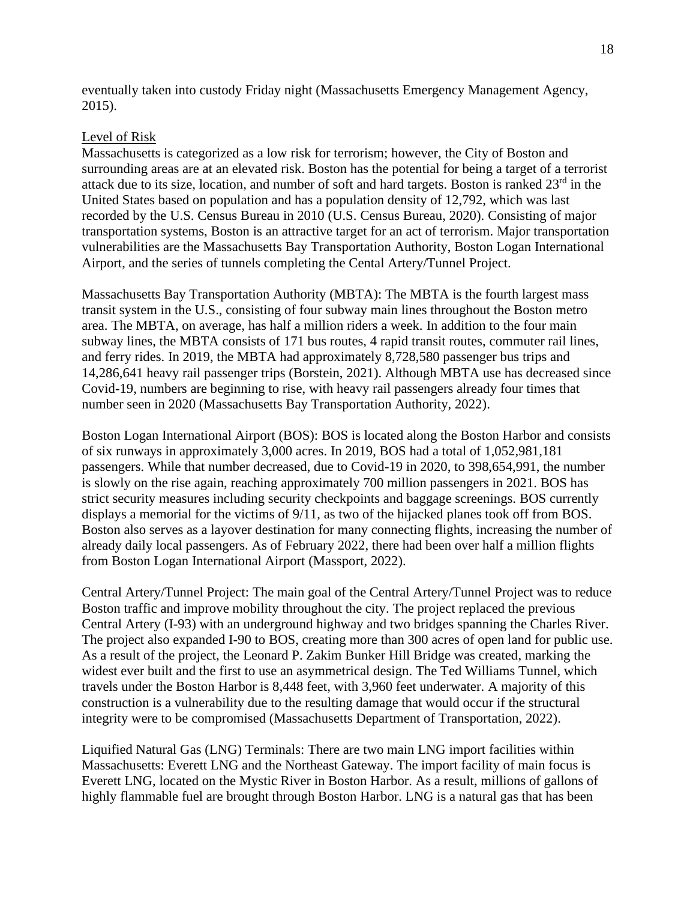eventually taken into custody Friday night (Massachusetts Emergency Management Agency, 2015).

# Level of Risk

Massachusetts is categorized as a low risk for terrorism; however, the City of Boston and surrounding areas are at an elevated risk. Boston has the potential for being a target of a terrorist attack due to its size, location, and number of soft and hard targets. Boston is ranked 23<sup>rd</sup> in the United States based on population and has a population density of 12,792, which was last recorded by the U.S. Census Bureau in 2010 (U.S. Census Bureau, 2020). Consisting of major transportation systems, Boston is an attractive target for an act of terrorism. Major transportation vulnerabilities are the Massachusetts Bay Transportation Authority, Boston Logan International Airport, and the series of tunnels completing the Cental Artery/Tunnel Project.

Massachusetts Bay Transportation Authority (MBTA): The MBTA is the fourth largest mass transit system in the U.S., consisting of four subway main lines throughout the Boston metro area. The MBTA, on average, has half a million riders a week. In addition to the four main subway lines, the MBTA consists of 171 bus routes, 4 rapid transit routes, commuter rail lines, and ferry rides. In 2019, the MBTA had approximately 8,728,580 passenger bus trips and 14,286,641 heavy rail passenger trips (Borstein, 2021). Although MBTA use has decreased since Covid-19, numbers are beginning to rise, with heavy rail passengers already four times that number seen in 2020 (Massachusetts Bay Transportation Authority, 2022).

Boston Logan International Airport (BOS): BOS is located along the Boston Harbor and consists of six runways in approximately 3,000 acres. In 2019, BOS had a total of 1,052,981,181 passengers. While that number decreased, due to Covid-19 in 2020, to 398,654,991, the number is slowly on the rise again, reaching approximately 700 million passengers in 2021. BOS has strict security measures including security checkpoints and baggage screenings. BOS currently displays a memorial for the victims of 9/11, as two of the hijacked planes took off from BOS. Boston also serves as a layover destination for many connecting flights, increasing the number of already daily local passengers. As of February 2022, there had been over half a million flights from Boston Logan International Airport (Massport, 2022).

Central Artery/Tunnel Project: The main goal of the Central Artery/Tunnel Project was to reduce Boston traffic and improve mobility throughout the city. The project replaced the previous Central Artery (I-93) with an underground highway and two bridges spanning the Charles River. The project also expanded I-90 to BOS, creating more than 300 acres of open land for public use. As a result of the project, the Leonard P. Zakim Bunker Hill Bridge was created, marking the widest ever built and the first to use an asymmetrical design. The Ted Williams Tunnel, which travels under the Boston Harbor is 8,448 feet, with 3,960 feet underwater. A majority of this construction is a vulnerability due to the resulting damage that would occur if the structural integrity were to be compromised (Massachusetts Department of Transportation, 2022).

Liquified Natural Gas (LNG) Terminals: There are two main LNG import facilities within Massachusetts: Everett LNG and the Northeast Gateway. The import facility of main focus is Everett LNG, located on the Mystic River in Boston Harbor. As a result, millions of gallons of highly flammable fuel are brought through Boston Harbor. LNG is a natural gas that has been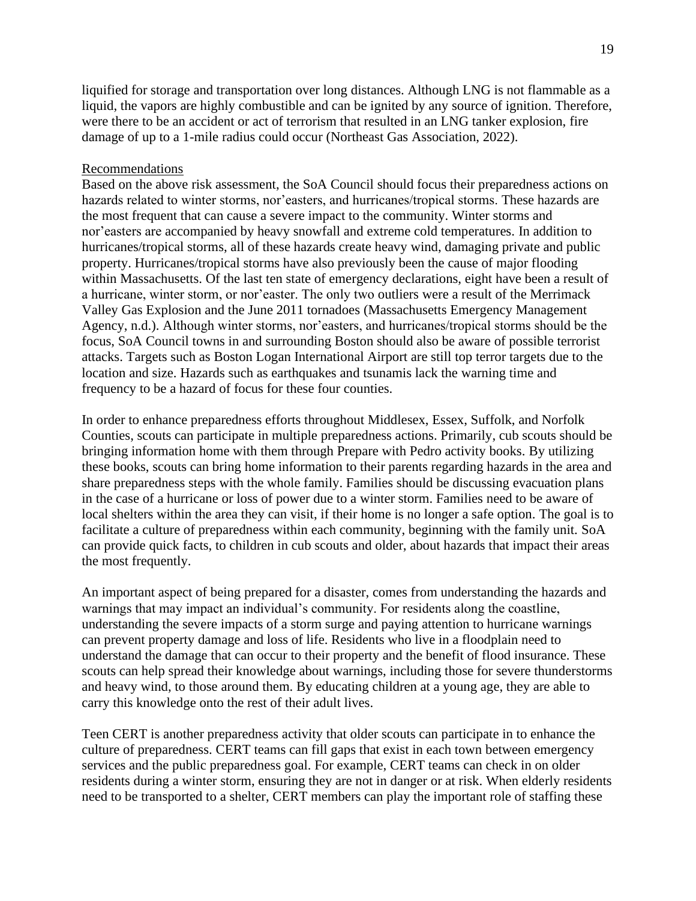liquified for storage and transportation over long distances. Although LNG is not flammable as a liquid, the vapors are highly combustible and can be ignited by any source of ignition. Therefore, were there to be an accident or act of terrorism that resulted in an LNG tanker explosion, fire damage of up to a 1-mile radius could occur (Northeast Gas Association, 2022).

# Recommendations

Based on the above risk assessment, the SoA Council should focus their preparedness actions on hazards related to winter storms, nor'easters, and hurricanes/tropical storms. These hazards are the most frequent that can cause a severe impact to the community. Winter storms and nor'easters are accompanied by heavy snowfall and extreme cold temperatures. In addition to hurricanes/tropical storms, all of these hazards create heavy wind, damaging private and public property. Hurricanes/tropical storms have also previously been the cause of major flooding within Massachusetts. Of the last ten state of emergency declarations, eight have been a result of a hurricane, winter storm, or nor'easter. The only two outliers were a result of the Merrimack Valley Gas Explosion and the June 2011 tornadoes (Massachusetts Emergency Management Agency, n.d.). Although winter storms, nor'easters, and hurricanes/tropical storms should be the focus, SoA Council towns in and surrounding Boston should also be aware of possible terrorist attacks. Targets such as Boston Logan International Airport are still top terror targets due to the location and size. Hazards such as earthquakes and tsunamis lack the warning time and frequency to be a hazard of focus for these four counties.

In order to enhance preparedness efforts throughout Middlesex, Essex, Suffolk, and Norfolk Counties, scouts can participate in multiple preparedness actions. Primarily, cub scouts should be bringing information home with them through Prepare with Pedro activity books. By utilizing these books, scouts can bring home information to their parents regarding hazards in the area and share preparedness steps with the whole family. Families should be discussing evacuation plans in the case of a hurricane or loss of power due to a winter storm. Families need to be aware of local shelters within the area they can visit, if their home is no longer a safe option. The goal is to facilitate a culture of preparedness within each community, beginning with the family unit. SoA can provide quick facts, to children in cub scouts and older, about hazards that impact their areas the most frequently.

An important aspect of being prepared for a disaster, comes from understanding the hazards and warnings that may impact an individual's community. For residents along the coastline, understanding the severe impacts of a storm surge and paying attention to hurricane warnings can prevent property damage and loss of life. Residents who live in a floodplain need to understand the damage that can occur to their property and the benefit of flood insurance. These scouts can help spread their knowledge about warnings, including those for severe thunderstorms and heavy wind, to those around them. By educating children at a young age, they are able to carry this knowledge onto the rest of their adult lives.

Teen CERT is another preparedness activity that older scouts can participate in to enhance the culture of preparedness. CERT teams can fill gaps that exist in each town between emergency services and the public preparedness goal. For example, CERT teams can check in on older residents during a winter storm, ensuring they are not in danger or at risk. When elderly residents need to be transported to a shelter, CERT members can play the important role of staffing these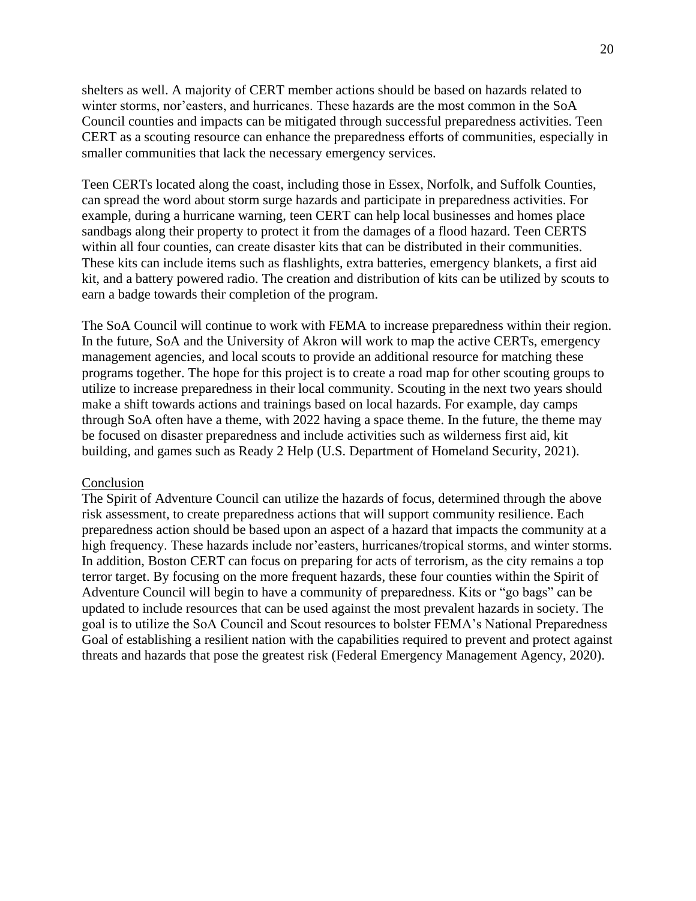shelters as well. A majority of CERT member actions should be based on hazards related to winter storms, nor'easters, and hurricanes. These hazards are the most common in the SoA Council counties and impacts can be mitigated through successful preparedness activities. Teen CERT as a scouting resource can enhance the preparedness efforts of communities, especially in smaller communities that lack the necessary emergency services.

Teen CERTs located along the coast, including those in Essex, Norfolk, and Suffolk Counties, can spread the word about storm surge hazards and participate in preparedness activities. For example, during a hurricane warning, teen CERT can help local businesses and homes place sandbags along their property to protect it from the damages of a flood hazard. Teen CERTS within all four counties, can create disaster kits that can be distributed in their communities. These kits can include items such as flashlights, extra batteries, emergency blankets, a first aid kit, and a battery powered radio. The creation and distribution of kits can be utilized by scouts to earn a badge towards their completion of the program.

The SoA Council will continue to work with FEMA to increase preparedness within their region. In the future, SoA and the University of Akron will work to map the active CERTs, emergency management agencies, and local scouts to provide an additional resource for matching these programs together. The hope for this project is to create a road map for other scouting groups to utilize to increase preparedness in their local community. Scouting in the next two years should make a shift towards actions and trainings based on local hazards. For example, day camps through SoA often have a theme, with 2022 having a space theme. In the future, the theme may be focused on disaster preparedness and include activities such as wilderness first aid, kit building, and games such as Ready 2 Help (U.S. Department of Homeland Security, 2021).

#### Conclusion

The Spirit of Adventure Council can utilize the hazards of focus, determined through the above risk assessment, to create preparedness actions that will support community resilience. Each preparedness action should be based upon an aspect of a hazard that impacts the community at a high frequency. These hazards include nor'easters, hurricanes/tropical storms, and winter storms. In addition, Boston CERT can focus on preparing for acts of terrorism, as the city remains a top terror target. By focusing on the more frequent hazards, these four counties within the Spirit of Adventure Council will begin to have a community of preparedness. Kits or "go bags" can be updated to include resources that can be used against the most prevalent hazards in society. The goal is to utilize the SoA Council and Scout resources to bolster FEMA's National Preparedness Goal of establishing a resilient nation with the capabilities required to prevent and protect against threats and hazards that pose the greatest risk (Federal Emergency Management Agency, 2020).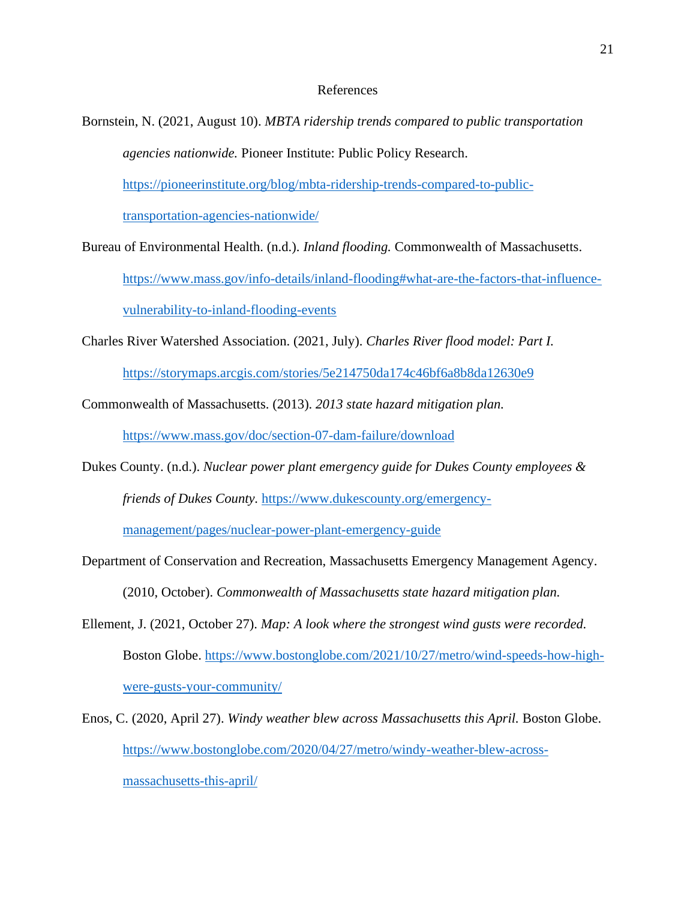# References

- Bornstein, N. (2021, August 10). *MBTA ridership trends compared to public transportation agencies nationwide.* Pioneer Institute: Public Policy Research. [https://pioneerinstitute.org/blog/mbta-ridership-trends-compared-to-public](https://pioneerinstitute.org/blog/mbta-ridership-trends-compared-to-public-transportation-agencies-nationwide/)[transportation-agencies-nationwide/](https://pioneerinstitute.org/blog/mbta-ridership-trends-compared-to-public-transportation-agencies-nationwide/)
- Bureau of Environmental Health. (n.d.). *Inland flooding.* Commonwealth of Massachusetts. [https://www.mass.gov/info-details/inland-flooding#what-are-the-factors-that-influence](https://www.mass.gov/info-details/inland-flooding#what-are-the-factors-that-influence-vulnerability-to-inland-flooding-events)[vulnerability-to-inland-flooding-events](https://www.mass.gov/info-details/inland-flooding#what-are-the-factors-that-influence-vulnerability-to-inland-flooding-events)
- Charles River Watershed Association. (2021, July). *Charles River flood model: Part I.*

<https://storymaps.arcgis.com/stories/5e214750da174c46bf6a8b8da12630e9>

Commonwealth of Massachusetts. (2013). *2013 state hazard mitigation plan.* 

<https://www.mass.gov/doc/section-07-dam-failure/download>

Dukes County. (n.d.). *Nuclear power plant emergency guide for Dukes County employees & friends of Dukes County.* [https://www.dukescounty.org/emergency-](https://www.dukescounty.org/emergency-management/pages/nuclear-power-plant-emergency-guide)

[management/pages/nuclear-power-plant-emergency-guide](https://www.dukescounty.org/emergency-management/pages/nuclear-power-plant-emergency-guide)

- Department of Conservation and Recreation, Massachusetts Emergency Management Agency. (2010, October). *Commonwealth of Massachusetts state hazard mitigation plan.*
- Ellement, J. (2021, October 27). *Map: A look where the strongest wind gusts were recorded.*  Boston Globe. [https://www.bostonglobe.com/2021/10/27/metro/wind-speeds-how-high](https://www.bostonglobe.com/2021/10/27/metro/wind-speeds-how-high-were-gusts-your-community/)[were-gusts-your-community/](https://www.bostonglobe.com/2021/10/27/metro/wind-speeds-how-high-were-gusts-your-community/)
- Enos, C. (2020, April 27). *Windy weather blew across Massachusetts this April.* Boston Globe. [https://www.bostonglobe.com/2020/04/27/metro/windy-weather-blew-across](https://www.bostonglobe.com/2020/04/27/metro/windy-weather-blew-across-massachusetts-this-april/)[massachusetts-this-april/](https://www.bostonglobe.com/2020/04/27/metro/windy-weather-blew-across-massachusetts-this-april/)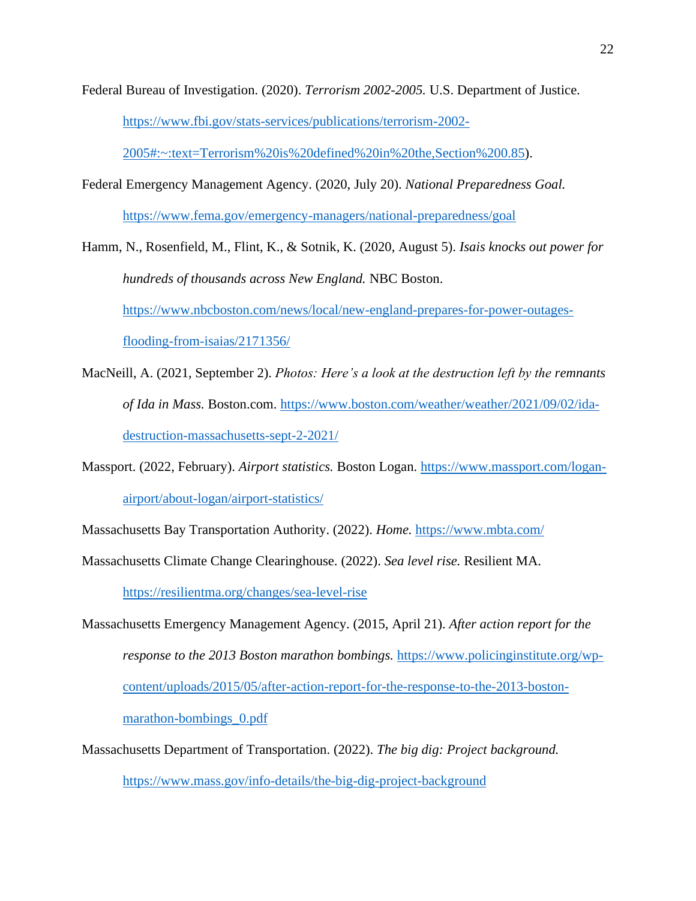Federal Bureau of Investigation. (2020). *Terrorism 2002-2005.* U.S. Department of Justice.

[https://www.fbi.gov/stats-services/publications/terrorism-2002-](https://www.fbi.gov/stats-services/publications/terrorism-2002-2005#:~:text=Terrorism%20is%20defined%20in%20the,Section%200.85)

[2005#:~:text=Terrorism%20is%20defined%20in%20the,Section%200.85\)](https://www.fbi.gov/stats-services/publications/terrorism-2002-2005#:~:text=Terrorism%20is%20defined%20in%20the,Section%200.85).

Federal Emergency Management Agency. (2020, July 20). *National Preparedness Goal.* <https://www.fema.gov/emergency-managers/national-preparedness/goal>

Hamm, N., Rosenfield, M., Flint, K., & Sotnik, K. (2020, August 5). *Isais knocks out power for hundreds of thousands across New England.* NBC Boston. [https://www.nbcboston.com/news/local/new-england-prepares-for-power-outages](https://www.nbcboston.com/news/local/new-england-prepares-for-power-outages-flooding-from-isaias/2171356/)[flooding-from-isaias/2171356/](https://www.nbcboston.com/news/local/new-england-prepares-for-power-outages-flooding-from-isaias/2171356/)

- MacNeill, A. (2021, September 2). *Photos: Here's a look at the destruction left by the remnants of Ida in Mass.* Boston.com. [https://www.boston.com/weather/weather/2021/09/02/ida](https://www.boston.com/weather/weather/2021/09/02/ida-destruction-massachusetts-sept-2-2021/)[destruction-massachusetts-sept-2-2021/](https://www.boston.com/weather/weather/2021/09/02/ida-destruction-massachusetts-sept-2-2021/)
- Massport. (2022, February). *Airport statistics.* Boston Logan. [https://www.massport.com/logan](https://www.massport.com/logan-airport/about-logan/airport-statistics/)[airport/about-logan/airport-statistics/](https://www.massport.com/logan-airport/about-logan/airport-statistics/)
- Massachusetts Bay Transportation Authority. (2022). *Home.* <https://www.mbta.com/>
- Massachusetts Climate Change Clearinghouse. (2022). *Sea level rise.* Resilient MA.

<https://resilientma.org/changes/sea-level-rise>

Massachusetts Emergency Management Agency. (2015, April 21). *After action report for the response to the 2013 Boston marathon bombings.* [https://www.policinginstitute.org/wp](https://www.policinginstitute.org/wp-content/uploads/2015/05/after-action-report-for-the-response-to-the-2013-boston-marathon-bombings_0.pdf)[content/uploads/2015/05/after-action-report-for-the-response-to-the-2013-boston](https://www.policinginstitute.org/wp-content/uploads/2015/05/after-action-report-for-the-response-to-the-2013-boston-marathon-bombings_0.pdf)[marathon-bombings\\_0.pdf](https://www.policinginstitute.org/wp-content/uploads/2015/05/after-action-report-for-the-response-to-the-2013-boston-marathon-bombings_0.pdf)

Massachusetts Department of Transportation. (2022). *The big dig: Project background.*  <https://www.mass.gov/info-details/the-big-dig-project-background>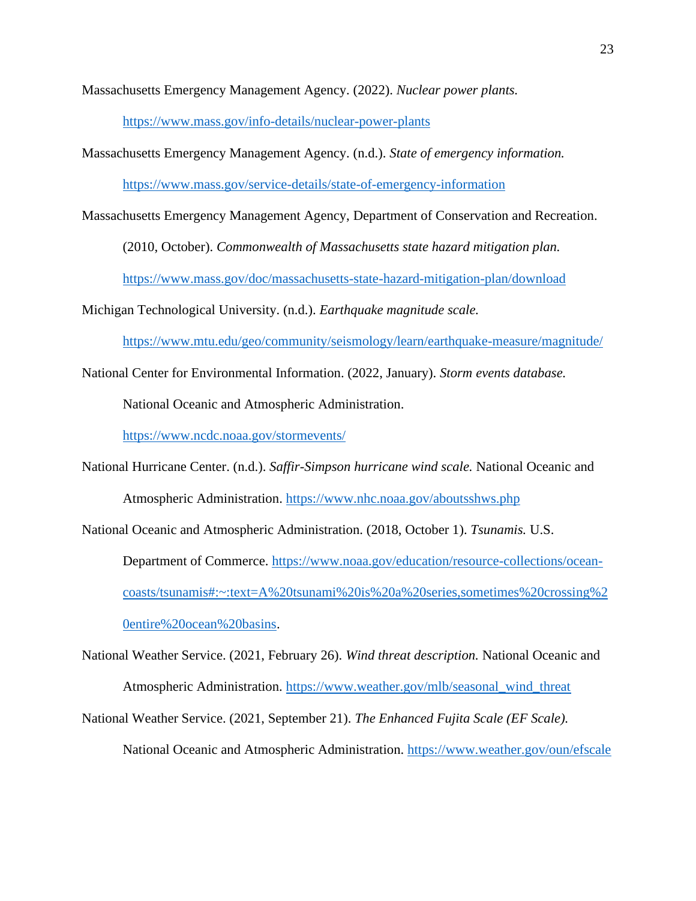Massachusetts Emergency Management Agency. (2022). *Nuclear power plants.* 

<https://www.mass.gov/info-details/nuclear-power-plants>

Massachusetts Emergency Management Agency. (n.d.). *State of emergency information.* 

<https://www.mass.gov/service-details/state-of-emergency-information>

Massachusetts Emergency Management Agency, Department of Conservation and Recreation.

(2010, October). *Commonwealth of Massachusetts state hazard mitigation plan.* 

<https://www.mass.gov/doc/massachusetts-state-hazard-mitigation-plan/download>

Michigan Technological University. (n.d.). *Earthquake magnitude scale.* 

<https://www.mtu.edu/geo/community/seismology/learn/earthquake-measure/magnitude/>

National Center for Environmental Information. (2022, January). *Storm events database.* 

National Oceanic and Atmospheric Administration.

<https://www.ncdc.noaa.gov/stormevents/>

National Hurricane Center. (n.d.). *Saffir-Simpson hurricane wind scale.* National Oceanic and Atmospheric Administration.<https://www.nhc.noaa.gov/aboutsshws.php>

National Oceanic and Atmospheric Administration. (2018, October 1). *Tsunamis.* U.S.

Department of Commerce. [https://www.noaa.gov/education/resource-collections/ocean](https://www.noaa.gov/education/resource-collections/ocean-coasts/tsunamis#:~:text=A%20tsunami%20is%20a%20series,sometimes%20crossing%20entire%20ocean%20basins)[coasts/tsunamis#:~:text=A%20tsunami%20is%20a%20series,sometimes%20crossing%2](https://www.noaa.gov/education/resource-collections/ocean-coasts/tsunamis#:~:text=A%20tsunami%20is%20a%20series,sometimes%20crossing%20entire%20ocean%20basins) [0entire%20ocean%20basins.](https://www.noaa.gov/education/resource-collections/ocean-coasts/tsunamis#:~:text=A%20tsunami%20is%20a%20series,sometimes%20crossing%20entire%20ocean%20basins)

National Weather Service. (2021, February 26). *Wind threat description.* National Oceanic and Atmospheric Administration. [https://www.weather.gov/mlb/seasonal\\_wind\\_threat](https://www.weather.gov/mlb/seasonal_wind_threat)

National Weather Service. (2021, September 21). *The Enhanced Fujita Scale (EF Scale).*  National Oceanic and Atmospheric Administration.<https://www.weather.gov/oun/efscale>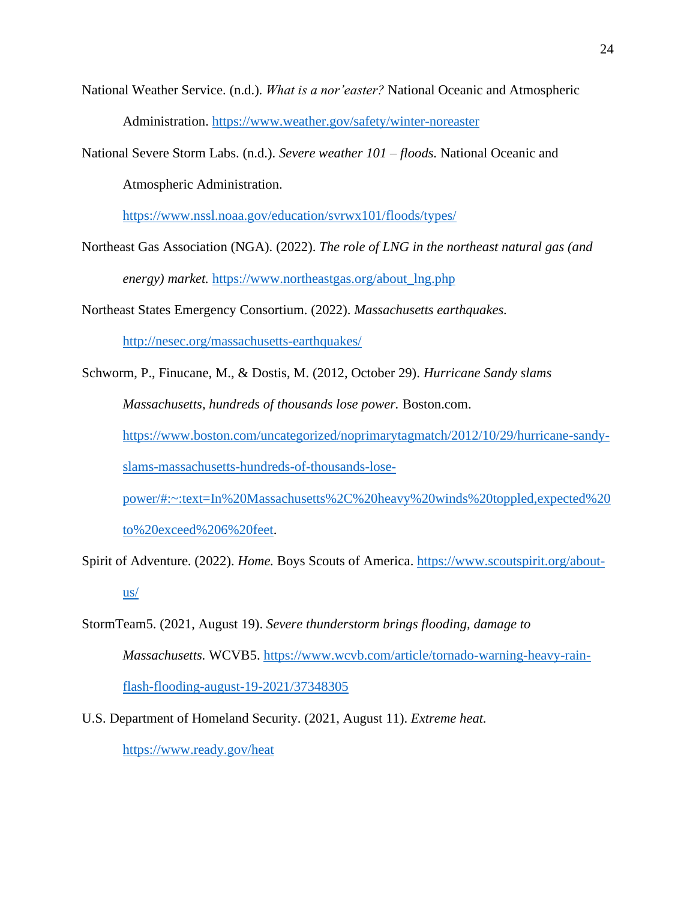- National Weather Service. (n.d.). *What is a nor'easter?* National Oceanic and Atmospheric Administration.<https://www.weather.gov/safety/winter-noreaster>
- National Severe Storm Labs. (n.d.). *Severe weather 101 – floods.* National Oceanic and Atmospheric Administration.

<https://www.nssl.noaa.gov/education/svrwx101/floods/types/>

- Northeast Gas Association (NGA). (2022). *The role of LNG in the northeast natural gas (and energy) market.* [https://www.northeastgas.org/about\\_lng.php](https://www.northeastgas.org/about_lng.php)
- Northeast States Emergency Consortium. (2022). *Massachusetts earthquakes.*

<http://nesec.org/massachusetts-earthquakes/>

Schworm, P., Finucane, M., & Dostis, M. (2012, October 29). *Hurricane Sandy slams Massachusetts, hundreds of thousands lose power.* Boston.com. [https://www.boston.com/uncategorized/noprimarytagmatch/2012/10/29/hurricane-sandy](https://www.boston.com/uncategorized/noprimarytagmatch/2012/10/29/hurricane-sandy-slams-massachusetts-hundreds-of-thousands-lose-power/#:~:text=In%20Massachusetts%2C%20heavy%20winds%20toppled,expected%20to%20exceed%206%20feet)[slams-massachusetts-hundreds-of-thousands-lose-](https://www.boston.com/uncategorized/noprimarytagmatch/2012/10/29/hurricane-sandy-slams-massachusetts-hundreds-of-thousands-lose-power/#:~:text=In%20Massachusetts%2C%20heavy%20winds%20toppled,expected%20to%20exceed%206%20feet)

[power/#:~:text=In%20Massachusetts%2C%20heavy%20winds%20toppled,expected%20](https://www.boston.com/uncategorized/noprimarytagmatch/2012/10/29/hurricane-sandy-slams-massachusetts-hundreds-of-thousands-lose-power/#:~:text=In%20Massachusetts%2C%20heavy%20winds%20toppled,expected%20to%20exceed%206%20feet)

[to%20exceed%206%20feet.](https://www.boston.com/uncategorized/noprimarytagmatch/2012/10/29/hurricane-sandy-slams-massachusetts-hundreds-of-thousands-lose-power/#:~:text=In%20Massachusetts%2C%20heavy%20winds%20toppled,expected%20to%20exceed%206%20feet)

- Spirit of Adventure. (2022). *Home*. Boys Scouts of America. [https://www.scoutspirit.org/about](https://www.scoutspirit.org/about-us/)[us/](https://www.scoutspirit.org/about-us/)
- StormTeam5. (2021, August 19). *Severe thunderstorm brings flooding, damage to Massachusetts.* WCVB5. [https://www.wcvb.com/article/tornado-warning-heavy-rain](https://www.wcvb.com/article/tornado-warning-heavy-rain-flash-flooding-august-19-2021/37348305)[flash-flooding-august-19-2021/37348305](https://www.wcvb.com/article/tornado-warning-heavy-rain-flash-flooding-august-19-2021/37348305)
- U.S. Department of Homeland Security. (2021, August 11). *Extreme heat.*  <https://www.ready.gov/heat>